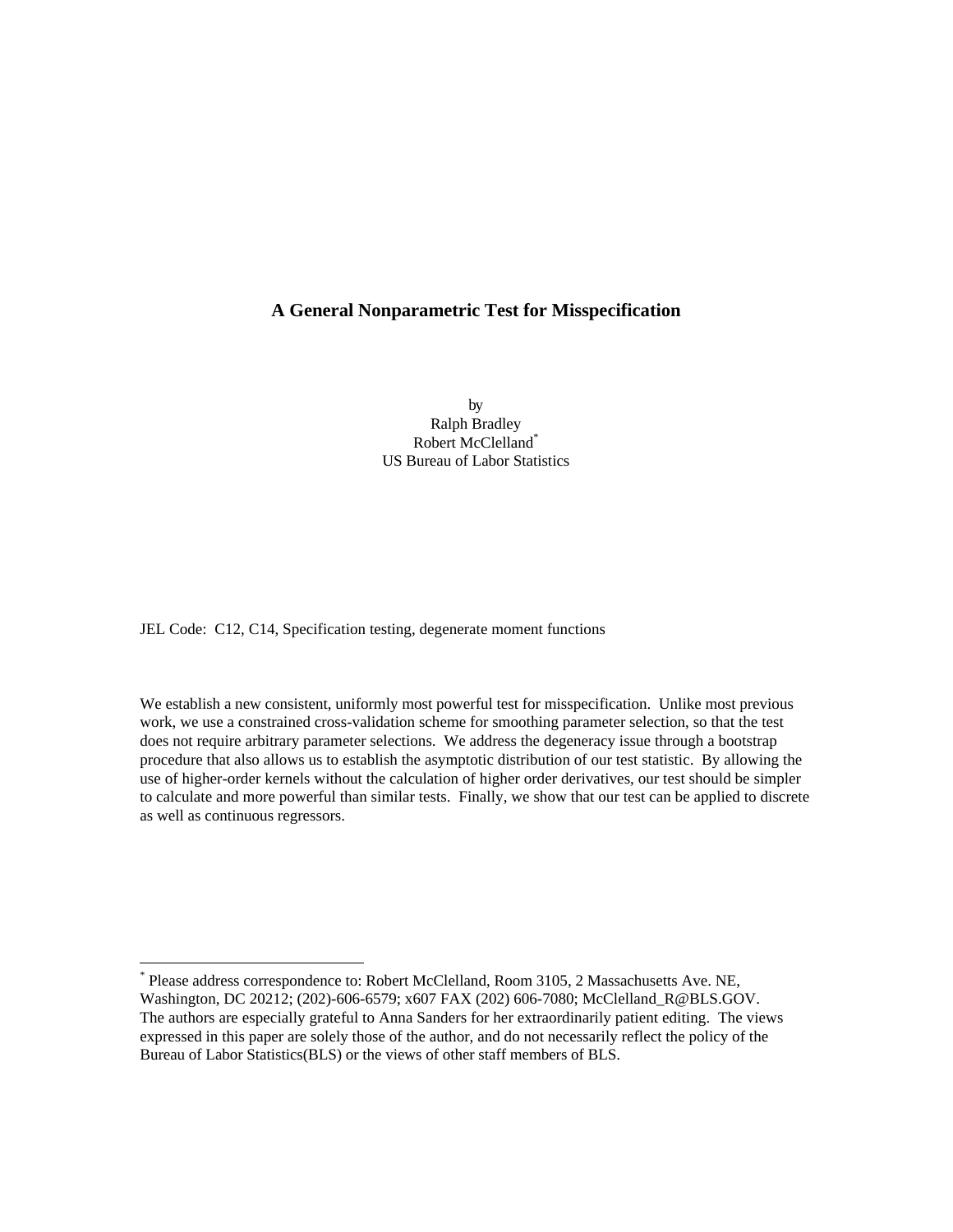## **A General Nonparametric Test for Misspecification**

by Ralph Bradley Robert McClelland\* US Bureau of Labor Statistics

JEL Code: C12, C14, Specification testing, degenerate moment functions

-

We establish a new consistent, uniformly most powerful test for misspecification. Unlike most previous work, we use a constrained cross-validation scheme for smoothing parameter selection, so that the test does not require arbitrary parameter selections. We address the degeneracy issue through a bootstrap procedure that also allows us to establish the asymptotic distribution of our test statistic. By allowing the use of higher-order kernels without the calculation of higher order derivatives, our test should be simpler to calculate and more powerful than similar tests. Finally, we show that our test can be applied to discrete as well as continuous regressors.

<sup>\*</sup> Please address correspondence to: Robert McClelland, Room 3105, 2 Massachusetts Ave. NE, Washington, DC 20212; (202)-606-6579; x607 FAX (202) 606-7080; McClelland\_R@BLS.GOV. The authors are especially grateful to Anna Sanders for her extraordinarily patient editing. The views expressed in this paper are solely those of the author, and do not necessarily reflect the policy of the Bureau of Labor Statistics(BLS) or the views of other staff members of BLS.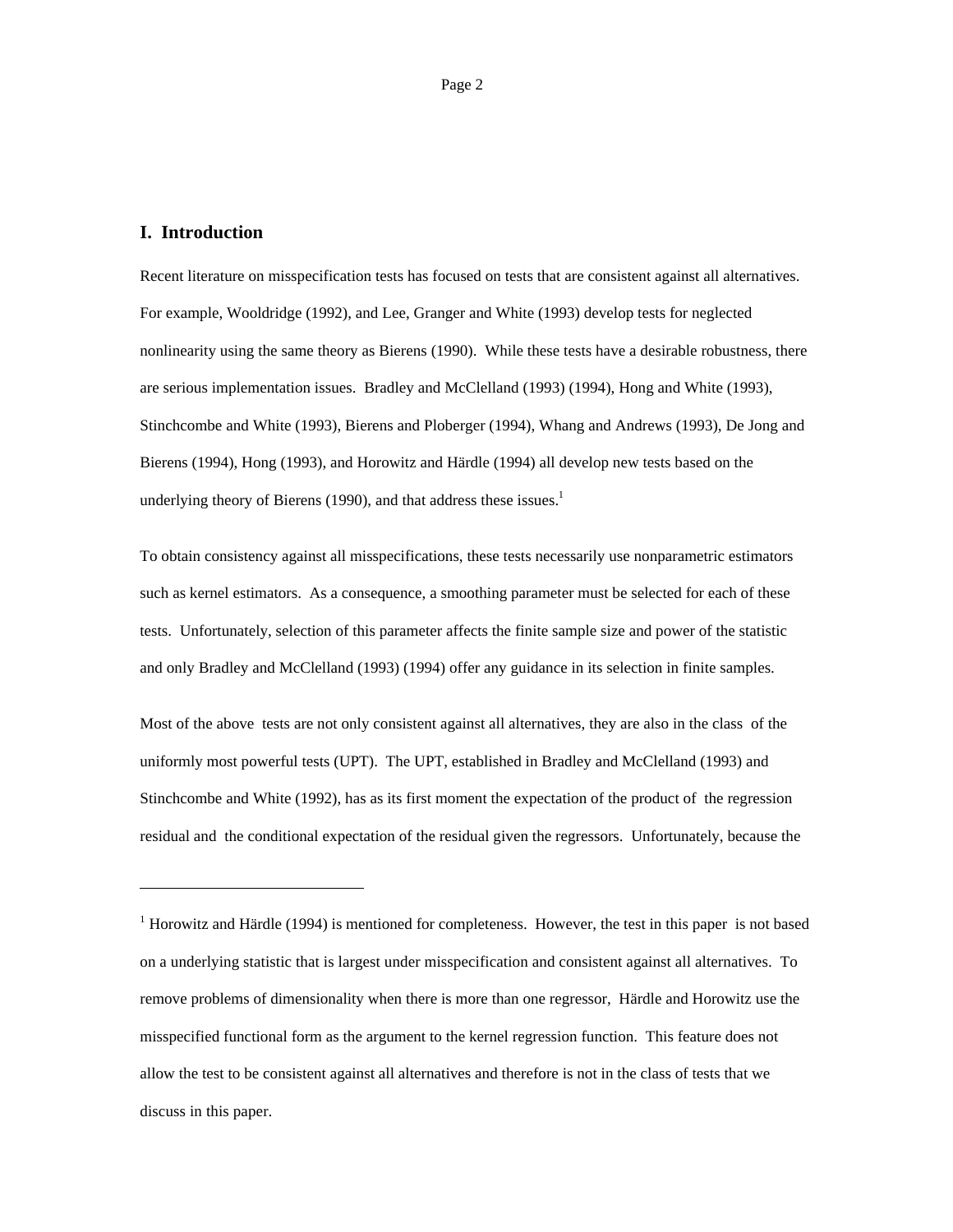## **I. Introduction**

-

Recent literature on misspecification tests has focused on tests that are consistent against all alternatives. For example, Wooldridge (1992), and Lee, Granger and White (1993) develop tests for neglected nonlinearity using the same theory as Bierens (1990). While these tests have a desirable robustness, there are serious implementation issues. Bradley and McClelland (1993) (1994), Hong and White (1993), Stinchcombe and White (1993), Bierens and Ploberger (1994), Whang and Andrews (1993), De Jong and Bierens (1994), Hong (1993), and Horowitz and Härdle (1994) all develop new tests based on the underlying theory of Bierens (1990), and that address these issues. $<sup>1</sup>$ </sup>

To obtain consistency against all misspecifications, these tests necessarily use nonparametric estimators such as kernel estimators. As a consequence, a smoothing parameter must be selected for each of these tests. Unfortunately, selection of this parameter affects the finite sample size and power of the statistic and only Bradley and McClelland (1993) (1994) offer any guidance in its selection in finite samples.

Most of the above tests are not only consistent against all alternatives, they are also in the class of the uniformly most powerful tests (UPT). The UPT, established in Bradley and McClelland (1993) and Stinchcombe and White (1992), has as its first moment the expectation of the product of the regression residual and the conditional expectation of the residual given the regressors. Unfortunately, because the

 $1$  Horowitz and Härdle (1994) is mentioned for completeness. However, the test in this paper is not based on a underlying statistic that is largest under misspecification and consistent against all alternatives. To remove problems of dimensionality when there is more than one regressor, Härdle and Horowitz use the misspecified functional form as the argument to the kernel regression function. This feature does not allow the test to be consistent against all alternatives and therefore is not in the class of tests that we discuss in this paper.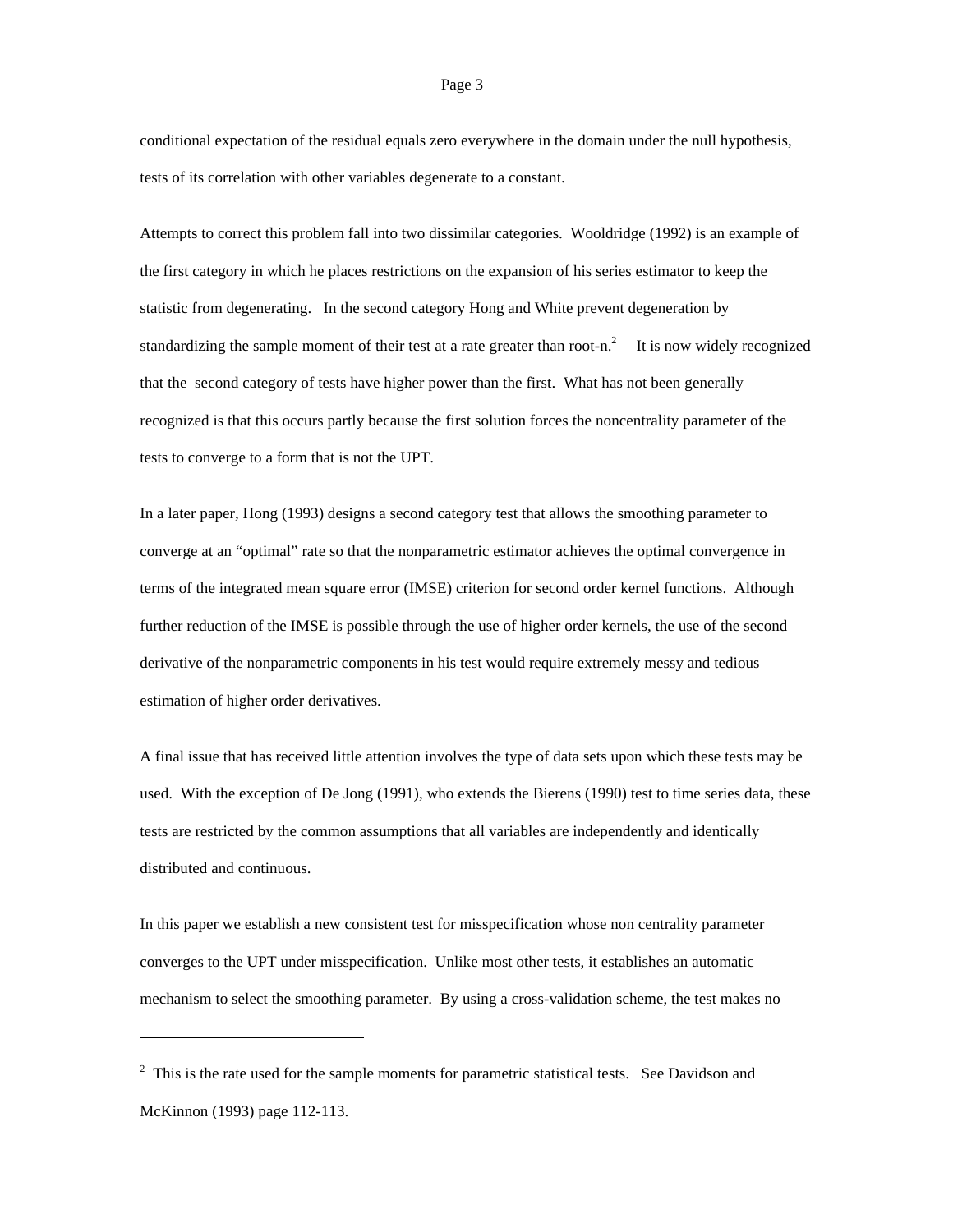conditional expectation of the residual equals zero everywhere in the domain under the null hypothesis, tests of its correlation with other variables degenerate to a constant.

Attempts to correct this problem fall into two dissimilar categories. Wooldridge (1992) is an example of the first category in which he places restrictions on the expansion of his series estimator to keep the statistic from degenerating. In the second category Hong and White prevent degeneration by standardizing the sample moment of their test at a rate greater than root-n.<sup>2</sup> It is now widely recognized that the second category of tests have higher power than the first. What has not been generally recognized is that this occurs partly because the first solution forces the noncentrality parameter of the tests to converge to a form that is not the UPT.

In a later paper, Hong (1993) designs a second category test that allows the smoothing parameter to converge at an "optimal" rate so that the nonparametric estimator achieves the optimal convergence in terms of the integrated mean square error (IMSE) criterion for second order kernel functions. Although further reduction of the IMSE is possible through the use of higher order kernels, the use of the second derivative of the nonparametric components in his test would require extremely messy and tedious estimation of higher order derivatives.

A final issue that has received little attention involves the type of data sets upon which these tests may be used. With the exception of De Jong (1991), who extends the Bierens (1990) test to time series data, these tests are restricted by the common assumptions that all variables are independently and identically distributed and continuous.

In this paper we establish a new consistent test for misspecification whose non centrality parameter converges to the UPT under misspecification. Unlike most other tests, it establishes an automatic mechanism to select the smoothing parameter. By using a cross-validation scheme, the test makes no

-

### Page 3

 $2$  This is the rate used for the sample moments for parametric statistical tests. See Davidson and McKinnon (1993) page 112-113.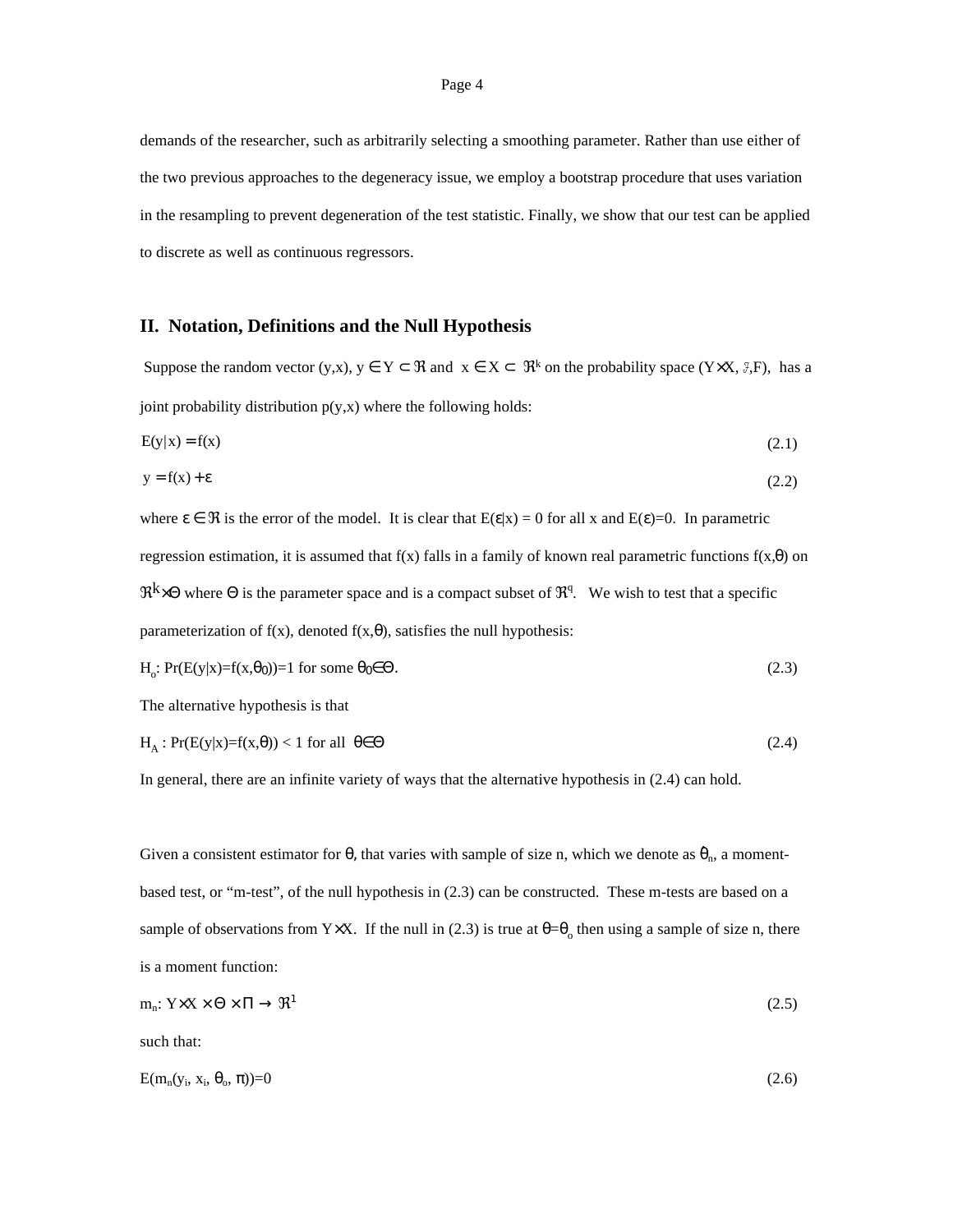demands of the researcher, such as arbitrarily selecting a smoothing parameter. Rather than use either of the two previous approaches to the degeneracy issue, we employ a bootstrap procedure that uses variation in the resampling to prevent degeneration of the test statistic. Finally, we show that our test can be applied to discrete as well as continuous regressors.

## **II. Notation, Definitions and the Null Hypothesis**

Suppose the random vector (y,x),  $y \in Y \subset \Re$  and  $x \in X \subset \Re^k$  on the probability space (Y $\times X$ ,  $\Im F$ ), has a joint probability distribution  $p(y,x)$  where the following holds:

$$
E(y|x) = f(x) \tag{2.1}
$$

$$
y = f(x) + \varepsilon \tag{2.2}
$$

where  $\varepsilon \in \mathcal{R}$  is the error of the model. It is clear that  $E(\varepsilon|x) = 0$  for all x and  $E(\varepsilon)=0$ . In parametric regression estimation, it is assumed that  $f(x)$  falls in a family of known real parametric functions  $f(x,\theta)$  on  $\Re^k \times \Theta$  where  $\Theta$  is the parameter space and is a compact subset of  $\mathfrak{R}^q$ . We wish to test that a specific parameterization of  $f(x)$ , denoted  $f(x, \theta)$ , satisfies the null hypothesis:

$$
H_o: Pr(E(y|x)=f(x,\theta_0))=1 \text{ for some } \theta_0 \in \Theta.
$$
\n(2.3)

The alternative hypothesis is that

$$
H_A: Pr(E(y|x)=f(x,\theta)) < 1 \text{ for all } \theta \in \Theta
$$
\n(2.4)

In general, there are an infinite variety of ways that the alternative hypothesis in (2.4) can hold.

Given a consistent estimator for  $\theta$ , that varies with sample of size n, which we denote as  $\hat{\theta}_n$ , a momentbased test, or "m-test", of the null hypothesis in (2.3) can be constructed. These m-tests are based on a sample of observations from Y $\times$ X. If the null in (2.3) is true at  $\theta = \theta_0$  then using a sample of size n, there is a moment function:

$$
m_n: Y \times X \times \Theta \times \Pi \to \mathfrak{R}^1 \tag{2.5}
$$

such that:

$$
E(m_n(y_i, x_i, \theta_o, \pi)) = 0 \tag{2.6}
$$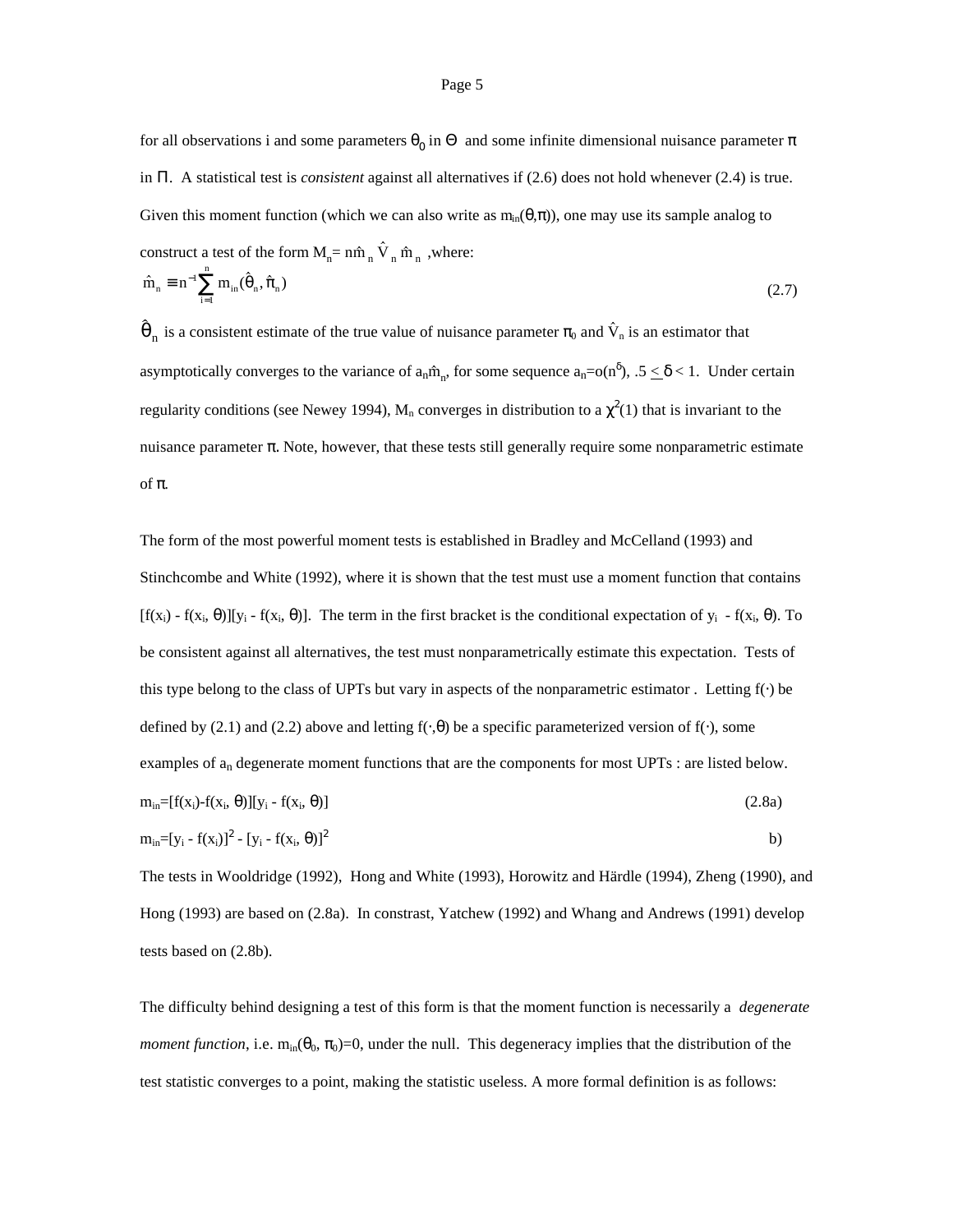for all observations i and some parameters  $\theta_0$  in  $\Theta$  and some infinite dimensional nuisance parameter  $\pi$ in Π. A statistical test is *consistent* against all alternatives if (2.6) does not hold whenever (2.4) is true. Given this moment function (which we can also write as  $m_{in}(\theta,\pi)$ ), one may use its sample analog to Given this moment function (which we can also write<br>construct a test of the form  $M_n = n\hat{m}_n \hat{V}_n \hat{m}_n$ , where: construct a test of the form  $\hat{m}_n \equiv n^{-1} \sum_{n=1}^{n} m_{in}(\hat{\theta}_n, \hat{\pi}_n)$  $\ddot{\phantom{0}}$ 

$$
\hat{m}_n = n^{-1} \sum_{i=1}^n m_{in}(\hat{\theta}_n, \hat{\pi}_n)
$$
\n(2.7)\n
$$
\hat{\theta}_n
$$
 is a consistent estimate of the true value of nuisance parameter  $\pi_0$  and  $\hat{V}_n$  is an estimator that

 $\hat{\theta}_n$  is a consistent estimate of the true value of nuisance parameter  $\pi_0$  and  $\hat{V}_n$  asymptotically converges to the variance of  $a_n \hat{m}_n$ , for some sequence  $a_n = o(n^{\delta})$ asymptotically converges to the variance of  $a_n \hat{m}_n$ , for some sequence  $a_n = o(n^{\delta})$ ,  $.5 \le \delta < 1$ . Under certain regularity conditions (see Newey 1994),  $M_n$  converges in distribution to a  $\chi^2(1)$  that is invariant to the nuisance parameter π. Note, however, that these tests still generally require some nonparametric estimate of π.

The form of the most powerful moment tests is established in Bradley and McCelland (1993) and Stinchcombe and White (1992), where it is shown that the test must use a moment function that contains  $[f(x_i) - f(x_i, \theta)][y_i - f(x_i, \theta)]$ . The term in the first bracket is the conditional expectation of  $y_i$  -  $f(x_i, \theta)$ . To be consistent against all alternatives, the test must nonparametrically estimate this expectation. Tests of this type belong to the class of UPTs but vary in aspects of the nonparametric estimator . Letting f(⋅) be defined by (2.1) and (2.2) above and letting  $f(\cdot,\theta)$  be a specific parameterized version of  $f(\cdot)$ , some examples of  $a_n$  degenerate moment functions that are the components for most UPTs : are listed below.  $m_{in}=[f(x_i)-f(x_i, \theta)][y_i - f(x_i, \theta)]$  $m_{in}=[y_i - f(x_i)]^2 - [y_i - f(x_i, \theta)]^2$ (2.8a) b)

The tests in Wooldridge (1992), Hong and White (1993), Horowitz and Härdle (1994), Zheng (1990), and Hong (1993) are based on (2.8a). In constrast, Yatchew (1992) and Whang and Andrews (1991) develop tests based on (2.8b).

The difficulty behind designing a test of this form is that the moment function is necessarily a *degenerate moment function*, i.e.  $m_{in}(\theta_0, \pi_0) = 0$ , under the null. This degeneracy implies that the distribution of the test statistic converges to a point, making the statistic useless. A more formal definition is as follows: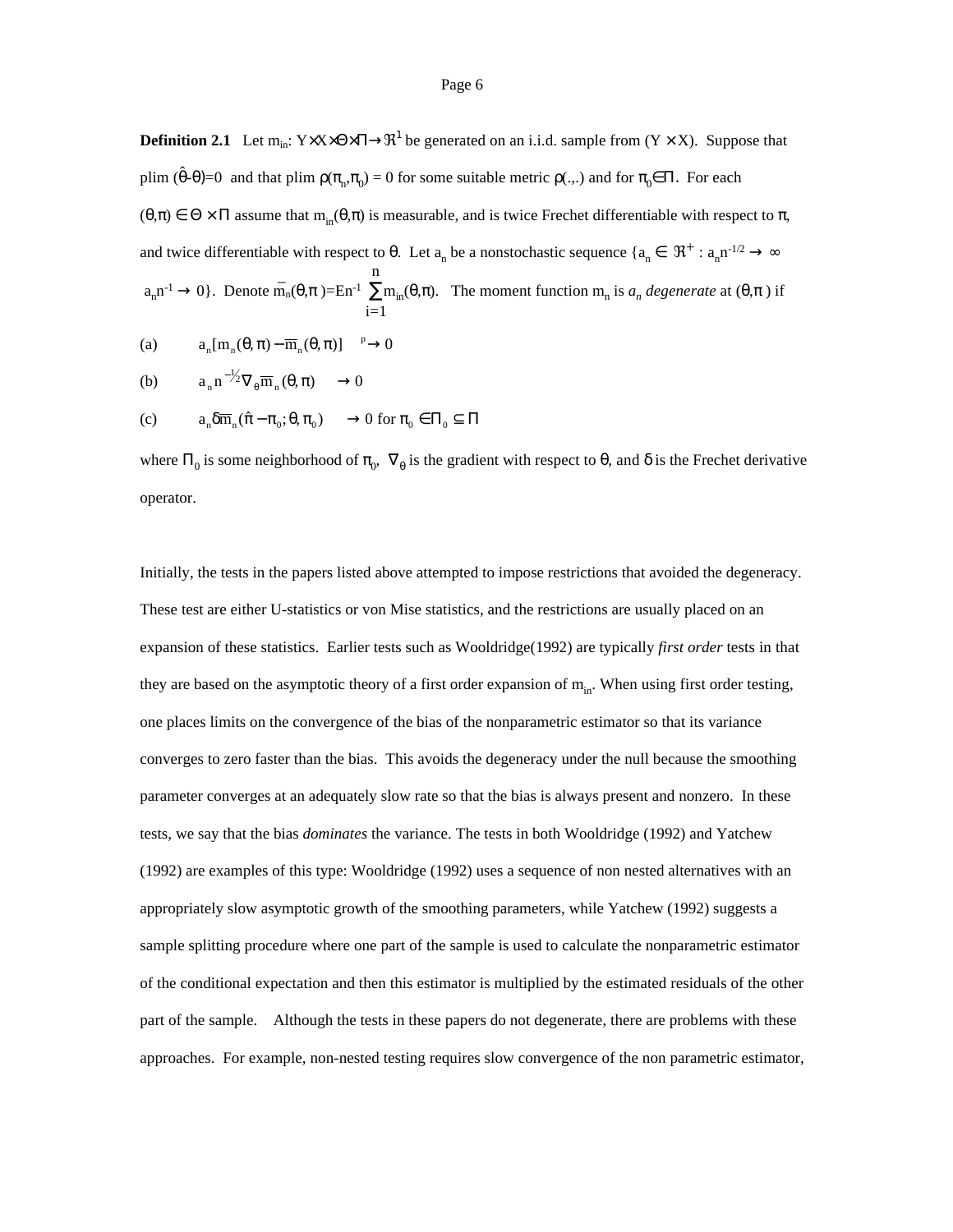**Definition 2.1** Let  $m_{in}$ : Y $\times$ X $\times$ Θ $\times$ Π $\rightarrow$  $\mathbb{R}^1$  be generated on an i.i.d. sample from (Y  $\times$  X). Suppose that plim  $(\hat{\theta} - \theta) = 0$  and that plim  $\rho(\pi_n, \pi_0) = 0$  for some suitable metric  $\rho(.,.)$  and for  $\pi_0 \in \Pi$ . For each  $(\theta,\pi) \in \Theta \times \Pi$  assume that  $m_{in}(\theta,\pi)$  is measurable, and is twice Frechet differentiable with respect to  $\pi$ , and twice differentiable with respect to  $\theta$ . Let  $a_n$  be a nonstochastic sequence  $\{a_n \in \mathbb{R}^+ : a_n n^{-1/2} \to \infty\}$  $a_n n^{-1} \to 0$ . Denote  $m_n(\theta, \pi) = En^{-1} \sum_{n=1}^{\infty}$  $i=1$ n  $m_{in}(\theta, π)$ . The moment function  $m_{n}$  is  $a_{n}$  degenerate at  $(\theta, π)$  if

(a) 
$$
a_n[m_n(\theta, \pi) - \overline{m}_n(\theta, \pi)] \longrightarrow 0
$$

(b) 
$$
a_n n^{-1/2} \nabla_{\theta} \overline{m}_n(\theta, \pi) \longrightarrow 0
$$

(b) 
$$
a_n n^{-1/2} \nabla_{\theta} \overline{m}_n(\theta, \pi) \longrightarrow 0
$$
  
(c)  $a_n \delta \overline{m}_n(\hat{\pi} - \pi_0; \theta, \pi_0) \longrightarrow 0 \text{ for } \pi_0 \in \Pi_0 \subseteq \Pi$ 

where  $\Pi_0$  is some neighborhood of  $\pi_0$ ,  $\nabla_\theta$  is the gradient with respect to  $\theta$ , and  $\delta$  is the Frechet derivative operator.

Initially, the tests in the papers listed above attempted to impose restrictions that avoided the degeneracy. These test are either U-statistics or von Mise statistics, and the restrictions are usually placed on an expansion of these statistics. Earlier tests such as Wooldridge(1992) are typically *first order* tests in that they are based on the asymptotic theory of a first order expansion of  $m_{in}$ . When using first order testing, one places limits on the convergence of the bias of the nonparametric estimator so that its variance converges to zero faster than the bias. This avoids the degeneracy under the null because the smoothing parameter converges at an adequately slow rate so that the bias is always present and nonzero. In these tests, we say that the bias *dominates* the variance. The tests in both Wooldridge (1992) and Yatchew (1992) are examples of this type: Wooldridge (1992) uses a sequence of non nested alternatives with an appropriately slow asymptotic growth of the smoothing parameters, while Yatchew (1992) suggests a sample splitting procedure where one part of the sample is used to calculate the nonparametric estimator of the conditional expectation and then this estimator is multiplied by the estimated residuals of the other part of the sample. Although the tests in these papers do not degenerate, there are problems with these approaches. For example, non-nested testing requires slow convergence of the non parametric estimator,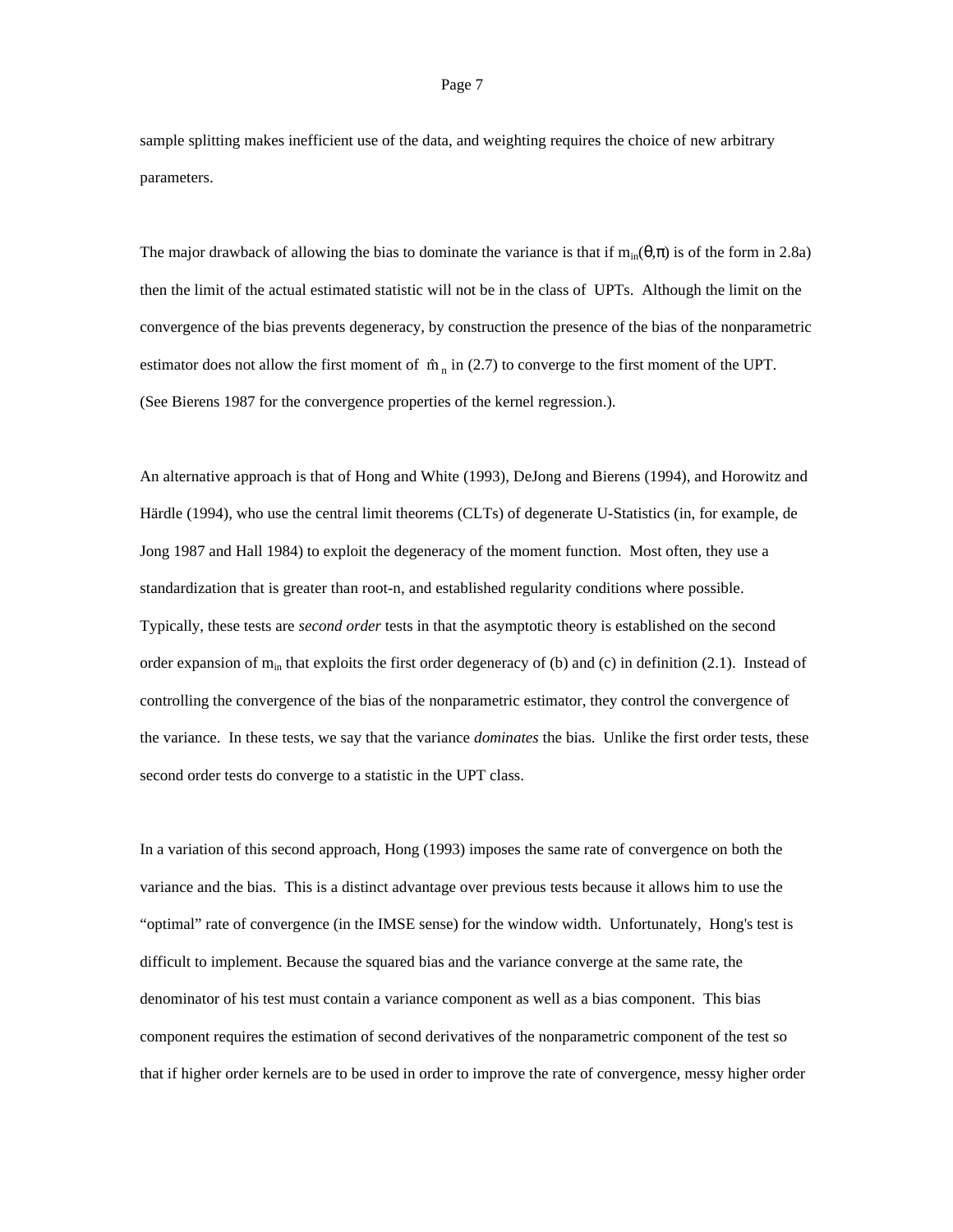sample splitting makes inefficient use of the data, and weighting requires the choice of new arbitrary parameters.

The major drawback of allowing the bias to dominate the variance is that if  $m_{in}(\theta,\pi)$  is of the form in 2.8a) then the limit of the actual estimated statistic will not be in the class of UPTs. Although the limit on the convergence of the bias prevents degeneracy, by construction the presence of the bias of the nonparametric estimator does not allow the first moment of  $\hat{m}_n$  in (2.7) to converge to the first moment of the UPT. (See Bierens 1987 for the convergence properties of the kernel regression.).

An alternative approach is that of Hong and White (1993), DeJong and Bierens (1994), and Horowitz and Härdle (1994), who use the central limit theorems (CLTs) of degenerate U-Statistics (in, for example, de Jong 1987 and Hall 1984) to exploit the degeneracy of the moment function. Most often, they use a standardization that is greater than root-n, and established regularity conditions where possible. Typically, these tests are *second order* tests in that the asymptotic theory is established on the second order expansion of  $m_{in}$  that exploits the first order degeneracy of (b) and (c) in definition (2.1). Instead of controlling the convergence of the bias of the nonparametric estimator, they control the convergence of the variance. In these tests, we say that the variance *dominates* the bias. Unlike the first order tests, these second order tests do converge to a statistic in the UPT class.

In a variation of this second approach, Hong (1993) imposes the same rate of convergence on both the variance and the bias. This is a distinct advantage over previous tests because it allows him to use the "optimal" rate of convergence (in the IMSE sense) for the window width. Unfortunately, Hong's test is difficult to implement. Because the squared bias and the variance converge at the same rate, the denominator of his test must contain a variance component as well as a bias component. This bias component requires the estimation of second derivatives of the nonparametric component of the test so that if higher order kernels are to be used in order to improve the rate of convergence, messy higher order

### Page 7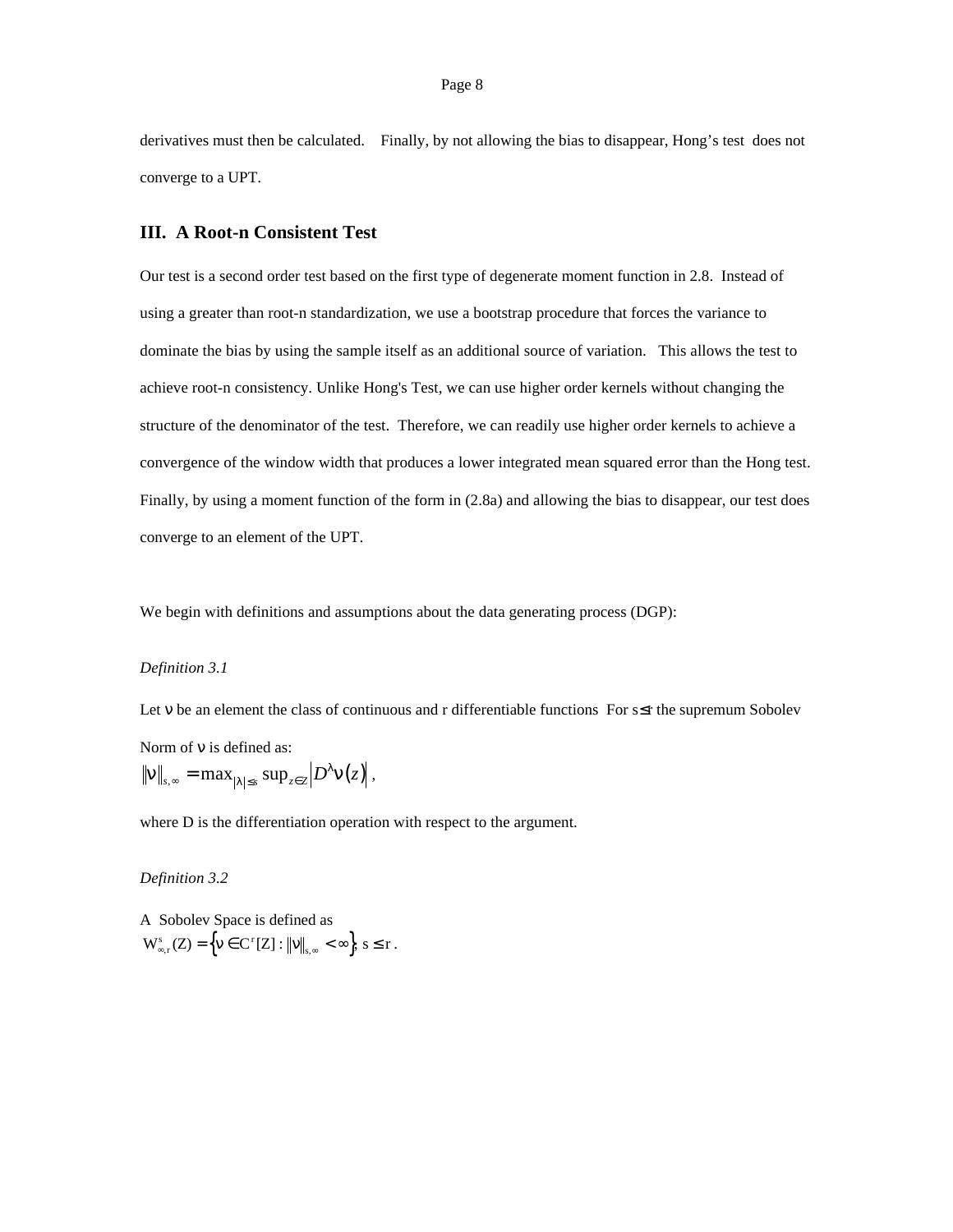derivatives must then be calculated. Finally, by not allowing the bias to disappear, Hong's test does not converge to a UPT.

## **III. A Root-n Consistent Test**

Our test is a second order test based on the first type of degenerate moment function in 2.8. Instead of using a greater than root-n standardization, we use a bootstrap procedure that forces the variance to dominate the bias by using the sample itself as an additional source of variation. This allows the test to achieve root-n consistency. Unlike Hong's Test, we can use higher order kernels without changing the structure of the denominator of the test. Therefore, we can readily use higher order kernels to achieve a convergence of the window width that produces a lower integrated mean squared error than the Hong test. Finally, by using a moment function of the form in (2.8a) and allowing the bias to disappear, our test does converge to an element of the UPT.

We begin with definitions and assumptions about the data generating process (DGP):

## *Definition 3.1*

Let v be an element the class of continuous and r differentiable functions For s≤r the supremum Sobolev Norm of ν is defined as:  $\|v\|_{s,\infty} = \max_{|\lambda| \leq s} \sup_{z \in Z} |D^{\lambda}v(z)|,$ 

where D is the differentiation operation with respect to the argument.

*Definition 3.2*

A Sobolev Space is defined as  $\operatorname{W}_{\infty, r}^s(Z) = \left\{ \nu \in \operatorname{C}^r[Z] : ||\nu||_{s, \infty} < \infty \right\}, s \leq r.$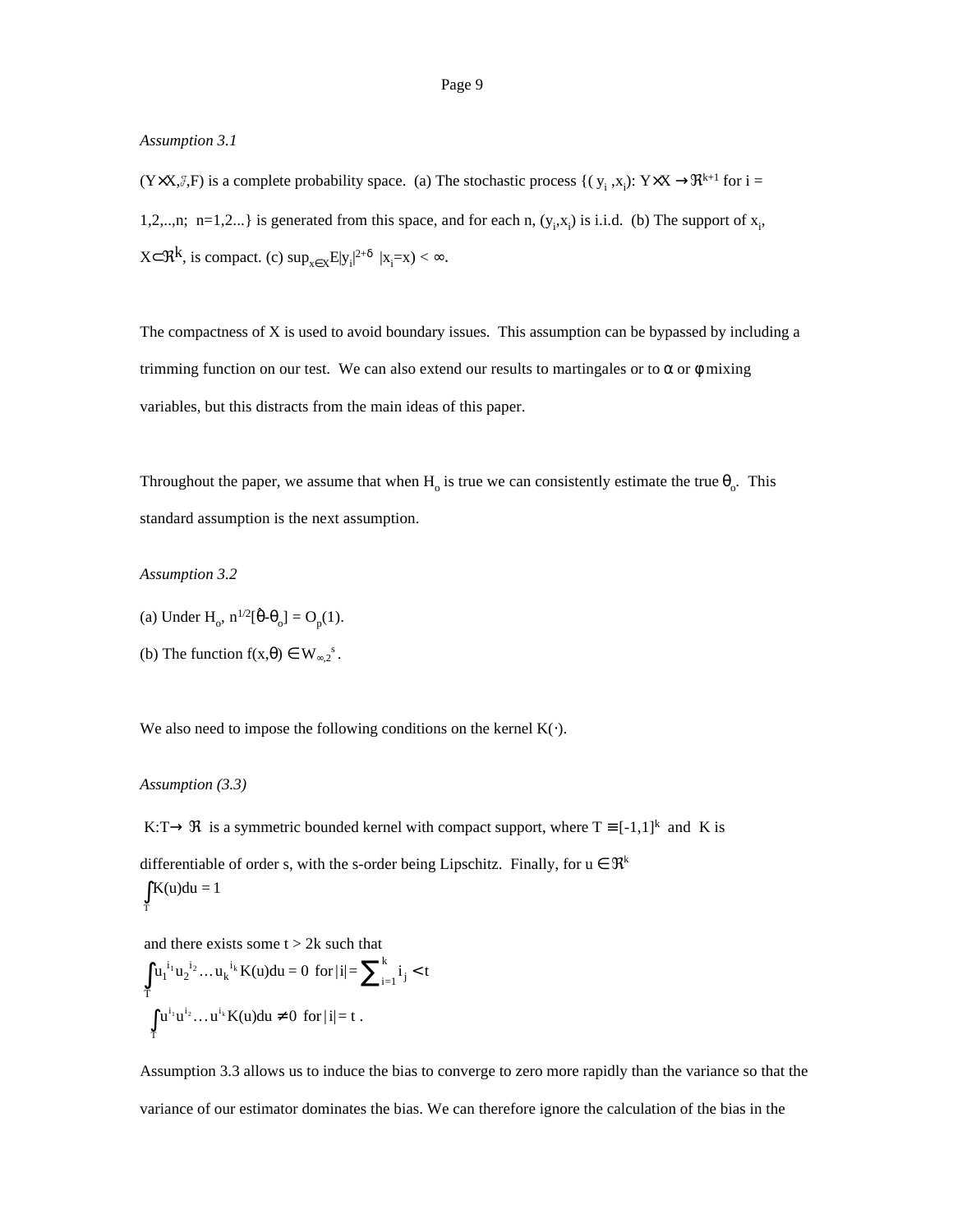### *Assumption 3.1*

 $(Y \times X, \mathcal{F}, F)$  is a complete probability space. (a) The stochastic process  $\{ (y_i, x_i): Y \times X \to \mathbb{R}^{k+1} \text{ for } i = 1, \dots, k \}$ 1,2,..,n; n=1,2...} is generated from this space, and for each n,  $(y_i, x_i)$  is i.i.d. (b) The support of  $x_i$ ,  $X \subset \mathfrak{R}^k$ , is compact. (c)  $\sup_{x \in X} E|y_i|^{2+\delta} |x_i=x$  <  $\infty$ .

The compactness of  $X$  is used to avoid boundary issues. This assumption can be bypassed by including a trimming function on our test. We can also extend our results to martingales or to  $\alpha$  or  $\phi$  mixing variables, but this distracts from the main ideas of this paper.

Throughout the paper, we assume that when  $H_0$  is true we can consistently estimate the true  $\theta_0$ . This standard assumption is the next assumption.

*Assumption 3.2*

- (a) Under H<sub>o</sub>,  $n^{1/2}[\hat{\theta} \theta_{o}] = O_{p}(1)$ .
- (b) The function  $f(x,\theta) \in W_{\infty,2}^s$ .

We also need to impose the following conditions on the kernel  $K(\cdot)$ .

### *Assumption (3.3)*

T

K:T $\rightarrow \Re$  is a symmetric bounded kernel with compact support, where T = [-1,1]<sup>k</sup> and K is

differentiable of order s, with the s-order being Lipschitz. Finally, for  $u \in \mathfrak{R}^k$  $\int K(u)du = 1$ 

and there exists some  $t > 2k$  such that

$$
\int_{T} u_1^{i_1} u_2^{i_2} \dots u_k^{i_k} K(u) du = 0 \text{ for } |i| = \sum_{i=1}^{k} i_j < t
$$
  

$$
\int_{T} u^{i_1} u^{i_2} \dots u^{i_k} K(u) du \neq 0 \text{ for } |i| = t.
$$

Assumption 3.3 allows us to induce the bias to converge to zero more rapidly than the variance so that the variance of our estimator dominates the bias. We can therefore ignore the calculation of the bias in the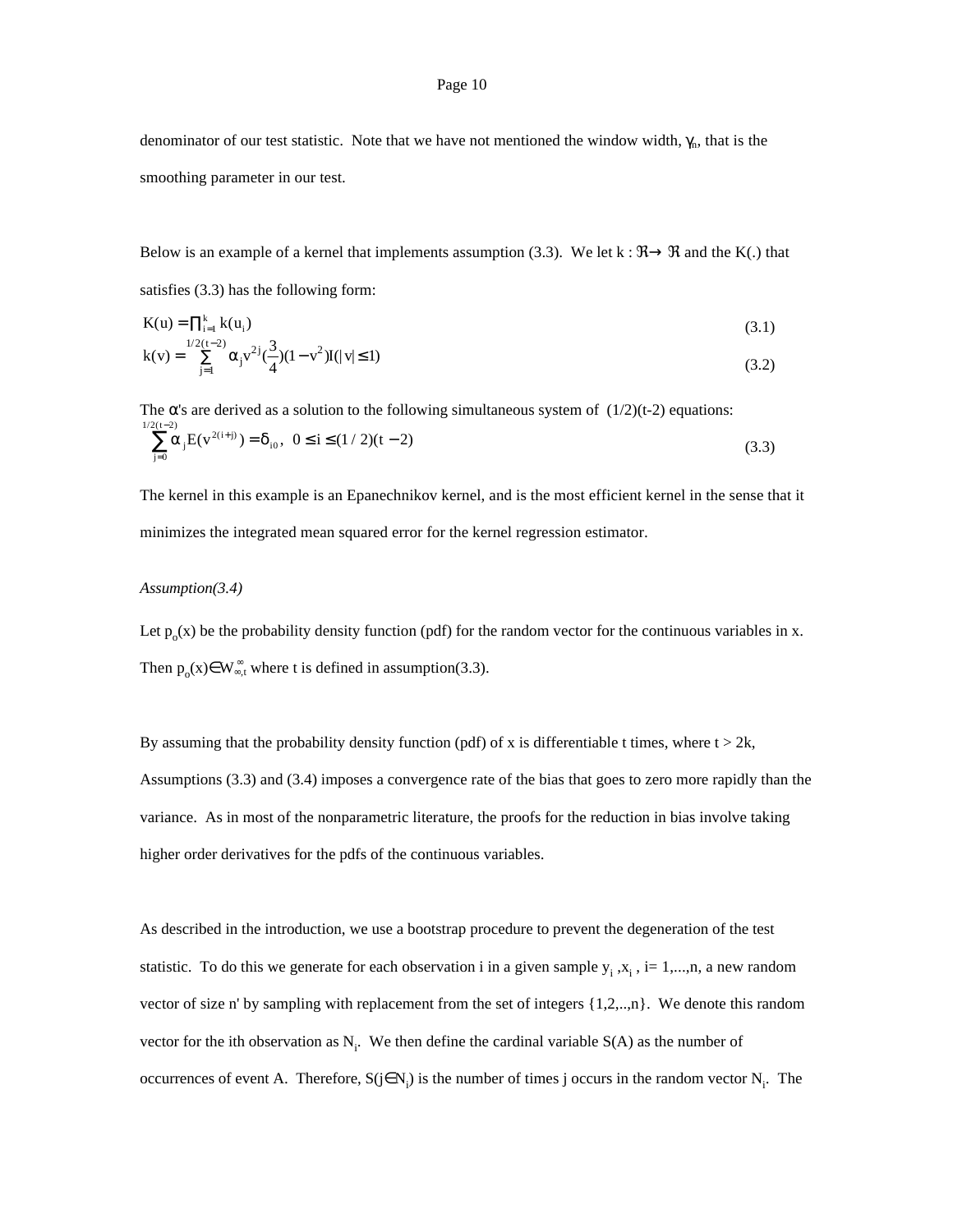denominator of our test statistic. Note that we have not mentioned the window width,  $\gamma_n$ , that is the smoothing parameter in our test.

Below is an example of a kernel that implements assumption (3.3). We let k :  $\mathfrak{R} \rightarrow \mathfrak{R}$  and the K(.) that satisfies (3.3) has the following form:

$$
K(u) = \prod_{i=1}^{k} k(u_i)
$$
  
\n
$$
k(v) = \sum_{j=1}^{1/2} \sum_{j=1}^{k} (\alpha_j v^{2j} (\frac{3}{4})(1 - v^2)I(|v| \le 1)
$$
\n(3.2)

The  $\alpha$ 's are derived as a solution to the following simultaneous system of  $(1/2)(t-2)$  equations:  $\sum_{j=0} \alpha_j E(v^{2(i+j)}) = \delta_i$  $\sum_{j=0}^{2(t-2)} \alpha_j E(v^{2(i+j)}) = \delta_{i0}, \ \ 0 \le i \le (1/2)(t-2)$  $\sum_{i=1}^{1/2} \alpha_i E(v^{2(i+j)}) = \delta_{i0}, \ 0 \le i \le (1/2)(t-2)$ =  $\sum_{i=0}^{2(t-2)} \alpha_j E(v^{2(i+j)}) = \delta_{i0}, \ \ 0 \le i \le (1/2)(t-2)$  (3.3)

The kernel in this example is an Epanechnikov kernel, and is the most efficient kernel in the sense that it minimizes the integrated mean squared error for the kernel regression estimator.

### *Assumption(3.4)*

Let  $p_0(x)$  be the probability density function (pdf) for the random vector for the continuous variables in x. Then  $p_0(x) \in W_{\infty,t}^{\infty}$  where t is defined in assumption(3.3).

By assuming that the probability density function (pdf) of x is differentiable t times, where  $t > 2k$ , Assumptions (3.3) and (3.4) imposes a convergence rate of the bias that goes to zero more rapidly than the variance. As in most of the nonparametric literature, the proofs for the reduction in bias involve taking higher order derivatives for the pdfs of the continuous variables.

As described in the introduction, we use a bootstrap procedure to prevent the degeneration of the test statistic. To do this we generate for each observation i in a given sample  $y_i$ ,  $x_i$ ,  $i = 1,...,n$ , a new random vector of size n' by sampling with replacement from the set of integers  $\{1,2,...,n\}$ . We denote this random vector for the ith observation as  $N_i$ . We then define the cardinal variable  $S(A)$  as the number of occurrences of event A. Therefore,  $S(j \in N_i)$  is the number of times j occurs in the random vector  $N_i$ . The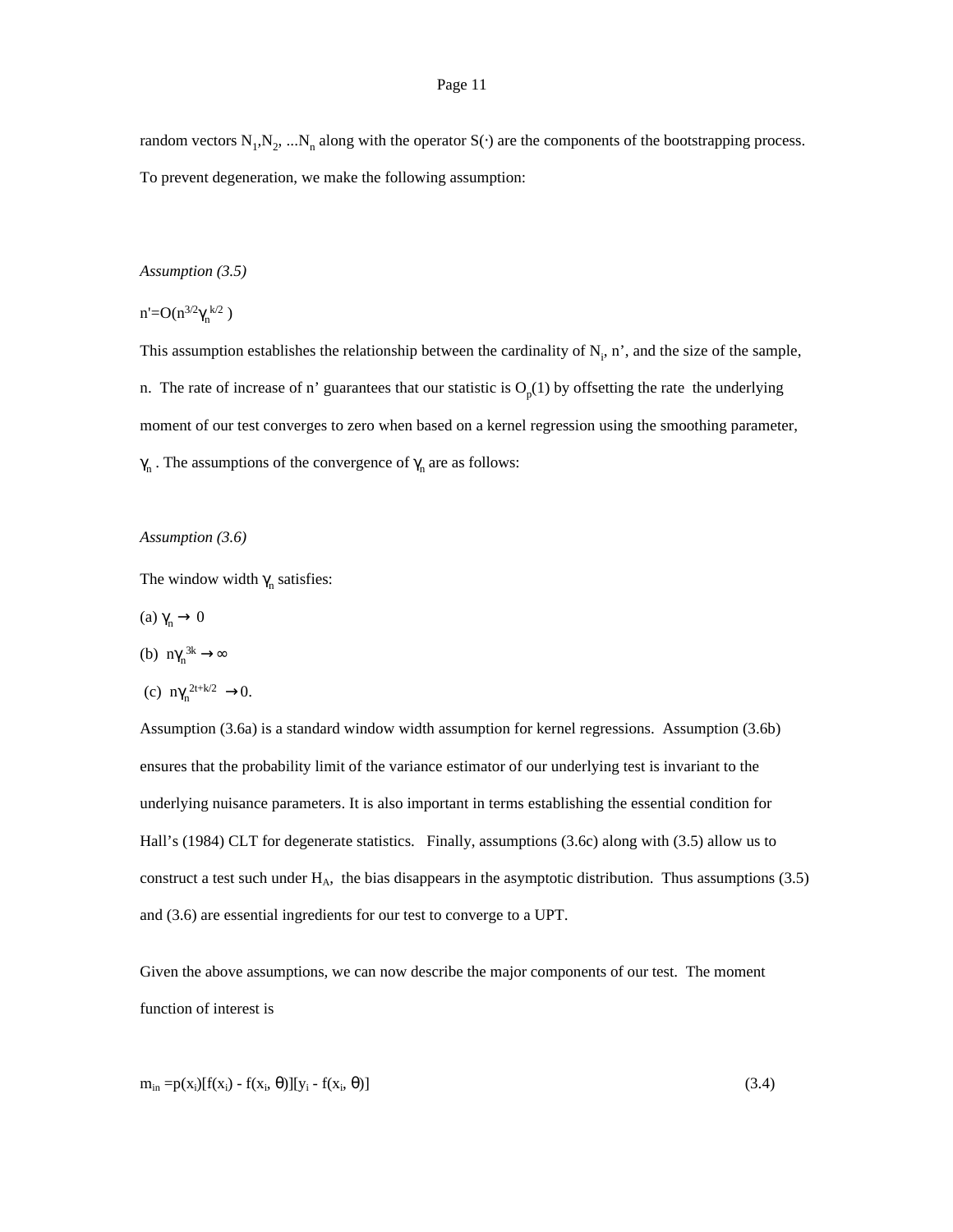random vectors  $N_1, N_2, ... N_n$  along with the operator S(⋅) are the components of the bootstrapping process. To prevent degeneration, we make the following assumption:

### *Assumption (3.5)*

 $n' = O(n^{3/2} \gamma_n^{k/2})$ 

This assumption establishes the relationship between the cardinality of  $N_i$ , n', and the size of the sample, n. The rate of increase of n' guarantees that our statistic is  $O_p(1)$  by offsetting the rate the underlying moment of our test converges to zero when based on a kernel regression using the smoothing parameter,  $\gamma_n$ . The assumptions of the convergence of  $\gamma_n$  are as follows:

### *Assumption (3.6)*

The window width  $\gamma_n$  satisfies:

- (a)  $γ_n \to 0$
- (b)  $n\gamma_n^{3k} \rightarrow \infty$

(c) 
$$
n\gamma_n^{2t+k/2} \rightarrow 0
$$
.

Assumption (3.6a) is a standard window width assumption for kernel regressions. Assumption (3.6b) ensures that the probability limit of the variance estimator of our underlying test is invariant to the underlying nuisance parameters. It is also important in terms establishing the essential condition for Hall's (1984) CLT for degenerate statistics. Finally, assumptions (3.6c) along with (3.5) allow us to construct a test such under H<sub>A</sub>, the bias disappears in the asymptotic distribution. Thus assumptions (3.5) and (3.6) are essential ingredients for our test to converge to a UPT.

Given the above assumptions, we can now describe the major components of our test. The moment function of interest is

$$
m_{in} = p(x_i)[f(x_i) - f(x_i, \theta)][y_i - f(x_i, \theta)]
$$
\n(3.4)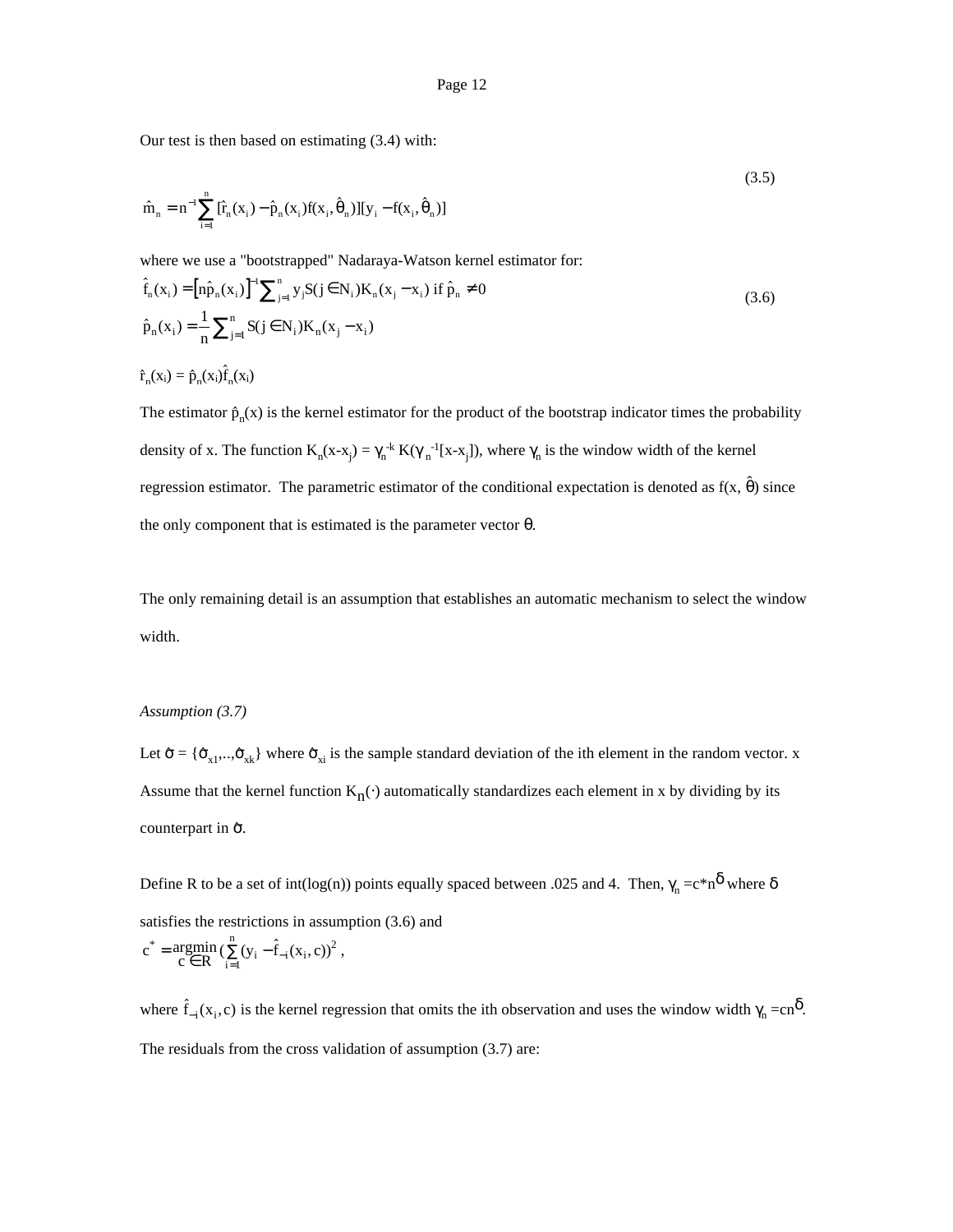Our test is then based on estimating (3.4) with:

$$
\hat{\mathbf{m}}_n = \mathbf{n}^{-1} \sum_{i=1}^n [\hat{\mathbf{r}}_n(\mathbf{x}_i) - \hat{\mathbf{p}}_n(\mathbf{x}_i) \mathbf{f}(\mathbf{x}_i, \hat{\boldsymbol{\theta}}_n)] [\mathbf{y}_i - \mathbf{f}(\mathbf{x}_i, \hat{\boldsymbol{\theta}}_n)]
$$
\n(3.5)

(3.5)

where we use a "bootstrapped" Nadaraya-Watson kernel estimator for:

where we use a "bootstrapped" Nadaraya-Watson kernel estimator for:  
\n
$$
\hat{f}_n(x_i) = [n\hat{p}_n(x_i)]^{-1} \sum_{j=1}^n y_j S(j \in N_i) K_n(x_j - x_i) \text{ if } \hat{p}_n \neq 0
$$
\n
$$
\hat{p}_n(x_i) = \frac{1}{n} \sum_{j=1}^n S(j \in N_i) K_n(x_j - x_i)
$$
\n
$$
\hat{f}_n(x_i) = \hat{p}_n(x_i) \hat{f}_n(x_i)
$$
\n(3.6)

The estimator  $\hat{p}_n(x)$  is the kernel estimator for the product of the bootstrap indicator times the probability density of x. The function  $K_n(x-x_j) = \gamma_n^{-k} K(\gamma_n^{-1}[x-x_j])$ , where  $\gamma_n$  is the window width of the kernel regression estimator. The parametric estimator of the conditional expectation is denoted as  $f(x, \hat{\theta})$  since the only component that is estimated is the parameter vector  $\theta$ .

The only remaining detail is an assumption that establishes an automatic mechanism to select the window width.

### *Assumption (3.7)*

Let  $\hat{\sigma} = \{\hat{\sigma}_{x1},...\hat{\sigma}_{xk}\}\$  where  $\hat{\sigma}_{xi}$  is the sample standard deviation of the ith element in the random vector. x Assume that the kernel function  $K_n(\cdot)$  automatically standardizes each element in x by dividing by its Assume that the counterpart in  $\hat{\sigma}$ .

Define R to be a set of  $int(log(n))$  points equally spaced between .025 and 4. Then,  $\gamma_n = c^*n^{\delta}$  where  $\delta$ satisfies the restrictions in assumption (3.6) and

$$
c^* = \underset{c \in R}{argmin} \, (\sum_{i=1}^n (y_i - \hat{f}_{-i}(x_i, c))^2 \;,
$$

c =  $\alpha \in \mathbb{R}^{\infty}$  ( $\sum_{i=1}^{N} (x_i - t_{-i}(x_i, c))^2$ ,<br>where  $\hat{f}_{-i}(x_i, c)$  is the kernel regression that omits the ith observation and uses the window width  $\gamma_n = cn^{\delta}$ . The residuals from the cross validation of assumption (3.7) are: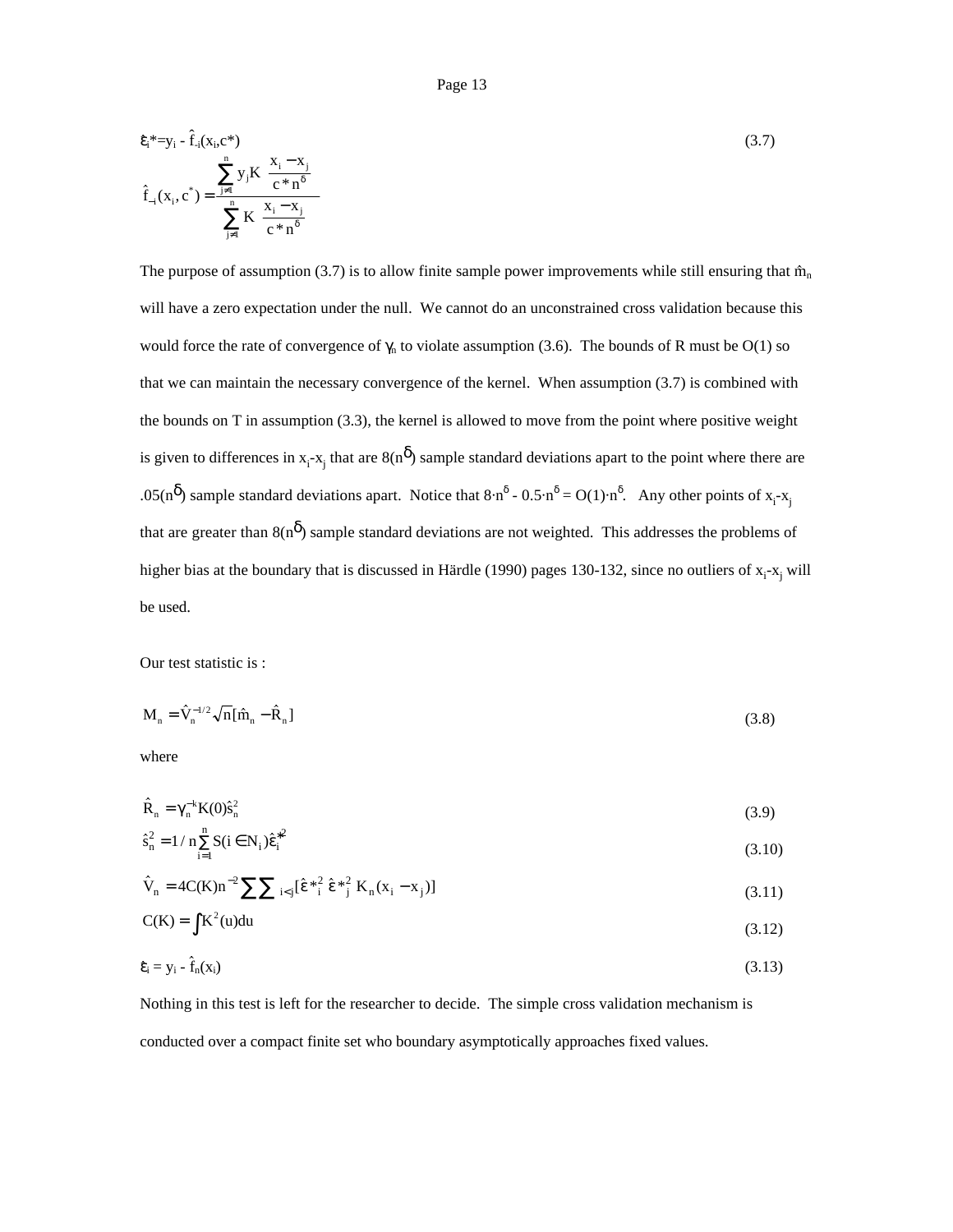Page 13  
\n
$$
\hat{\epsilon}_{i}^{*} = y_{i} - \hat{f}_{i}(x_{i}, c^{*})
$$
\n
$$
\hat{f}_{-i}(x_{i}, c^{*}) = \frac{\sum_{j=1}^{n} y_{j} K\left(\frac{x_{i} - x_{j}}{c^{*} n^{\delta}}\right)}{\sum_{j=1}^{n} K\left(\frac{x_{i} - x_{j}}{c^{*} n^{\delta}}\right)}
$$
\n(3.7)

The purpose of assumption (3.7) is to allow finite sample power improvements while still ensuring that  $\hat{m}_n$ will have a zero expectation under the null. We cannot do an unconstrained cross validation because this would force the rate of convergence of  $\gamma_n$  to violate assumption (3.6). The bounds of R must be O(1) so that we can maintain the necessary convergence of the kernel. When assumption (3.7) is combined with the bounds on T in assumption (3.3), the kernel is allowed to move from the point where positive weight is given to differences in  $x_i - x_j$  that are  $8(n^{\delta})$  sample standard deviations apart to the point where there are .05(n<sup> $\delta$ </sup>) sample standard deviations apart. Notice that  $8 \cdot n^{\delta}$  - 0.5 $\cdot n^{\delta}$  = O(1) $\cdot n^{\delta}$ . Any other points of x<sub>i</sub>-x<sub>j</sub> that are greater than  $8(n^{\delta})$  sample standard deviations are not weighted. This addresses the problems of higher bias at the boundary that is discussed in Härdle (1990) pages 130-132, since no outliers of x<sub>i</sub>-x<sub>j</sub> will be used.

Our test statistic is :

Our test statistic is :  
\n
$$
M_n = \hat{V}_n^{-1/2} \sqrt{n} [\hat{m}_n - \hat{R}_n]
$$
\n(3.8)

where

where  

$$
\hat{\mathbf{R}}_{n} = \gamma_{n}^{-k} \mathbf{K}(0) \hat{\mathbf{s}}_{n}^{2}
$$
(3.9)

$$
\hat{R}_n = \gamma_n^{-k} K(0) \hat{s}_n^2
$$
\n(3.9)\n
$$
\hat{s}_n^2 = 1 / n \sum_{i=1}^n S(i \in N_i) \hat{\epsilon}_i^{*2}
$$
\n(3.10)\n
$$
\hat{V}_n = 4C(K)n^{-2} \sum \sum_{i < j} [\hat{\epsilon}^*_{i}^2 \hat{\epsilon}^*_{j}^2 K_n (x_i - x_j)]
$$
\n(3.11)

$$
\hat{V}_n = 4C(K)n^{-2} \sum \sum_{i < j} [\hat{\epsilon}^*_{i}^2 \hat{\epsilon}^*_{j}^2 K_n(x_i - x_j)] \tag{3.11}
$$

$$
C(K) = \int K^2(u) du
$$
\n
$$
\hat{\varepsilon}_i = y_i - \hat{f}_n(x_i)
$$
\n(3.13)

$$
\hat{\mathbf{\varepsilon}}_{i} = \mathbf{y}_{i} - \hat{\mathbf{f}}_{n}(\mathbf{x}_{i}) \tag{3.13}
$$

Nothing in this test is left for the researcher to decide. The simple cross validation mechanism is conducted over a compact finite set who boundary asymptotically approaches fixed values.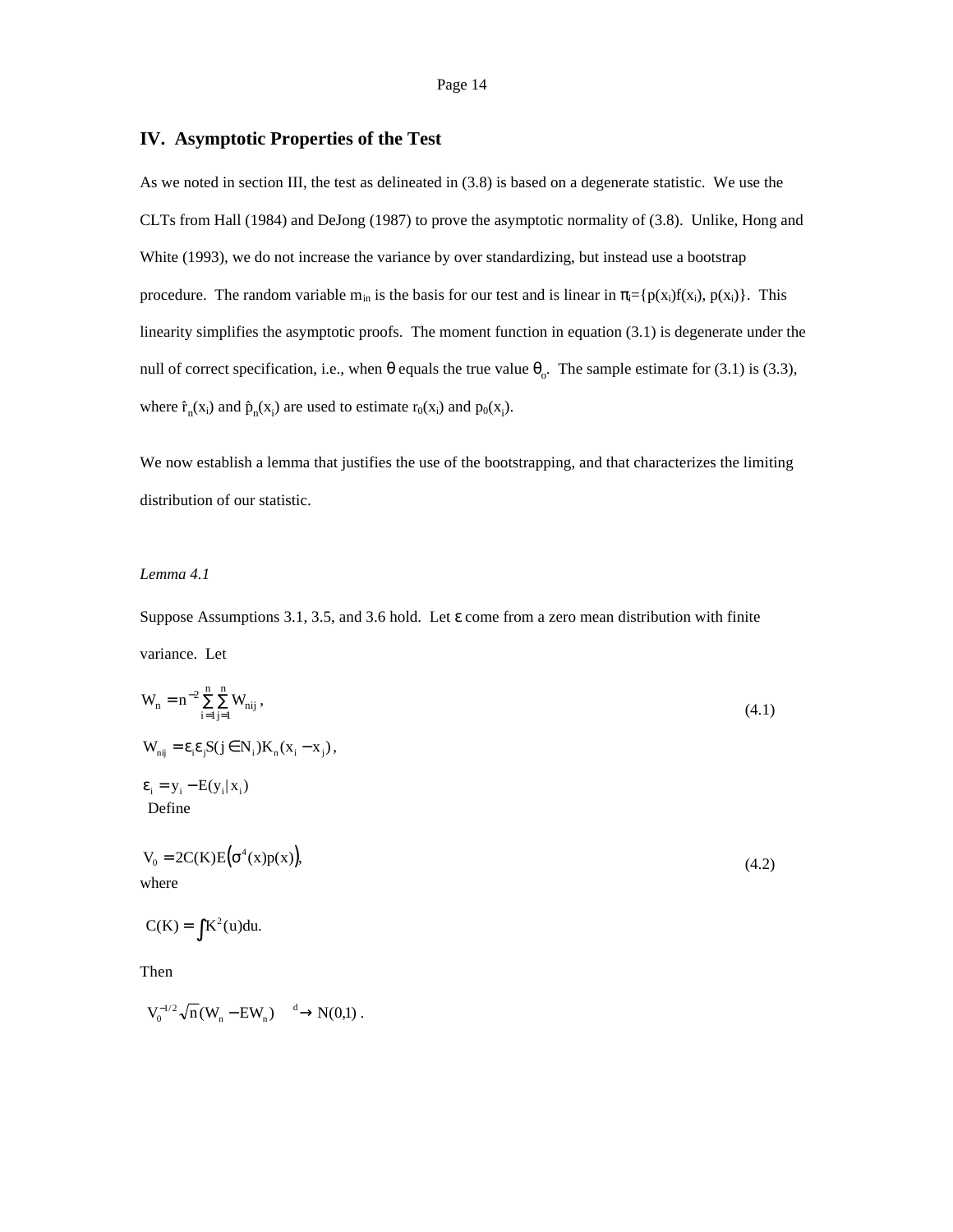## **IV. Asymptotic Properties of the Test**

As we noted in section III, the test as delineated in (3.8) is based on a degenerate statistic. We use the CLTs from Hall (1984) and DeJong (1987) to prove the asymptotic normality of (3.8). Unlike, Hong and White (1993), we do not increase the variance by over standardizing, but instead use a bootstrap procedure. The random variable m<sub>in</sub> is the basis for our test and is linear in  $\pi_i = \{p(x_i)f(x_i), p(x_i)\}\.$  This linearity simplifies the asymptotic proofs. The moment function in equation (3.1) is degenerate under the null of correct specification, i.e., when θ equals the true value  $θ_0$ . The sample estimate for (3.1) is (3.3), null of correct specifi<br>where  $\hat{r}_n(x_i)$  and  $\hat{p}_n(x_i)$ ) are used to estimate  $r_0(x_i)$  and  $p_0(x_i)$ .

We now establish a lemma that justifies the use of the bootstrapping, and that characterizes the limiting distribution of our statistic.

## *Lemma 4.1*

Suppose Assumptions 3.1, 3.5, and 3.6 hold. Let ε come from a zero mean distribution with finite variance. Let

$$
W_n = n^{-2} \sum_{i=1}^{n} \sum_{j=1}^{n} W_{nij},
$$
\n
$$
W_{nij} = \varepsilon_i \varepsilon_j S(j \in N_i) K_n (x_i - x_j),
$$
\n
$$
\varepsilon_i = y_i - E(y_i | x_i)
$$
\nDefine\n
$$
V_0 = 2C(K)E(\sigma^4(x)p(x)),
$$
\nwhere\n
$$
C(K) = \int K^2(u) du.
$$
\nThen

 $V_0^{-1/2} \sqrt{n} (W_n - EW_n) \xrightarrow{d} N(0,1)$ .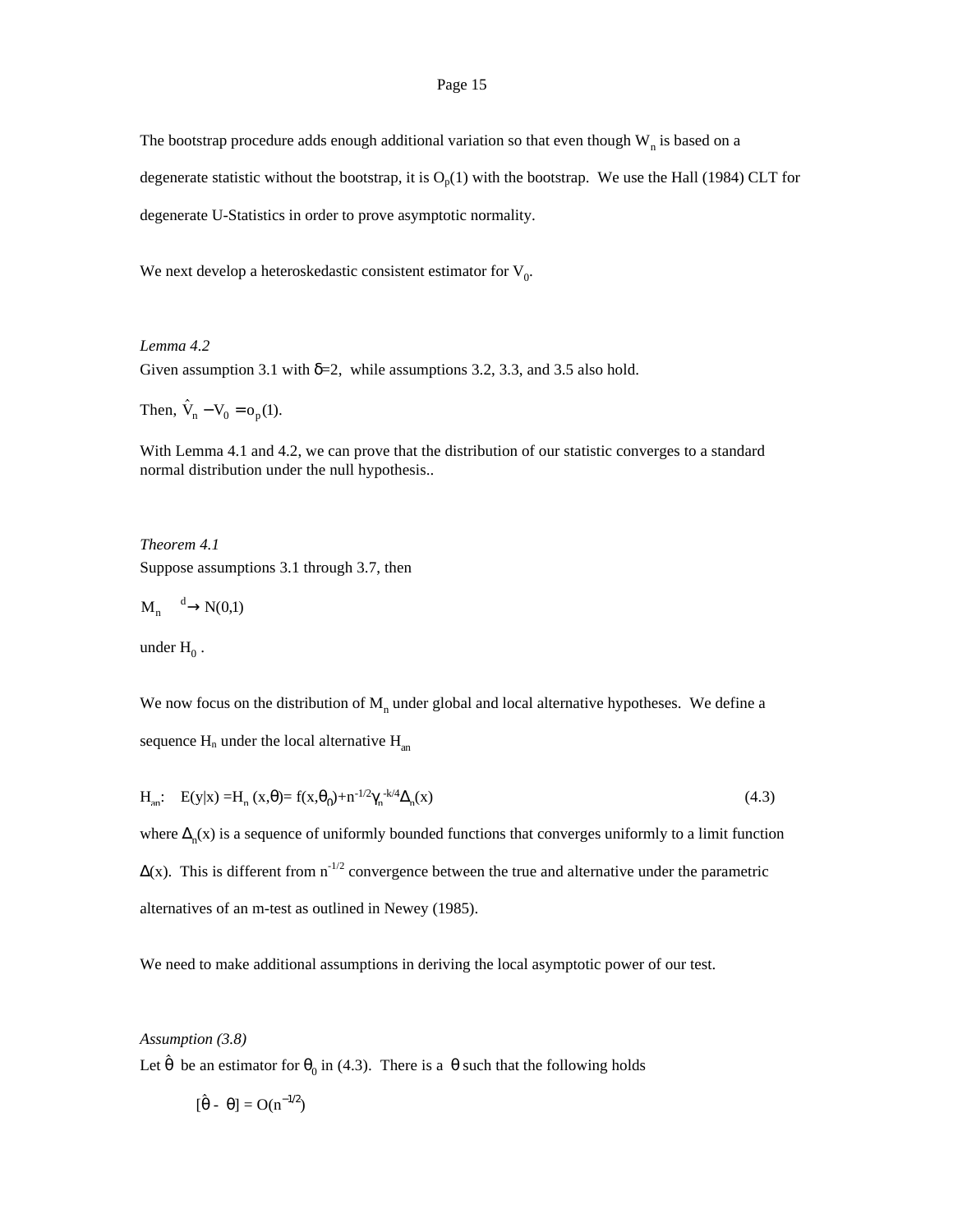The bootstrap procedure adds enough additional variation so that even though  $W_n$  is based on a degenerate statistic without the bootstrap, it is  $O_p(1)$  with the bootstrap. We use the Hall (1984) CLT for degenerate U-Statistics in order to prove asymptotic normality.

We next develop a heteroskedastic consistent estimator for  $V_0$ .

*Lemma 4.2* Given assumption 3.1 with  $\delta = 2$ , while assumptions 3.2, 3.3, and 3.5 also hold. Given assumption 3.1<br>Then,  $\hat{V}_n - V_0 = o_p(1)$ .

With Lemma 4.1 and 4.2, we can prove that the distribution of our statistic converges to a standard normal distribution under the null hypothesis..

*Theorem 4.1* Suppose assumptions 3.1 through 3.7, then

$$
M_n \xrightarrow{d} N(0,1)
$$

under  $H_0$ .

We now focus on the distribution of  $M<sub>n</sub>$  under global and local alternative hypotheses. We define a sequence  $H_n$  under the local alternative  $H_{an}$ 

$$
H_{an}: E(y|x) = H_n(x, \theta) = f(x, \theta_0) + n^{-1/2} \gamma_n^{-k/4} \Delta_n(x)
$$
\n(4.3)

where  $\Delta_n(x)$  is a sequence of uniformly bounded functions that converges uniformly to a limit function  $\Delta(x)$ . This is different from n<sup>-1/2</sup> convergence between the true and alternative under the parametric alternatives of an m-test as outlined in Newey (1985).

We need to make additional assumptions in deriving the local asymptotic power of our test.

#### *Assumption (3.8)*  $\ddot{\phantom{a}}$

Let  $\theta$  be an estimator for  $\theta_0$  in (4.3). There is a  $\theta$  such that the following holds

$$
[\hat{\theta} - \overline{\theta}] = O(n^{-1/2})
$$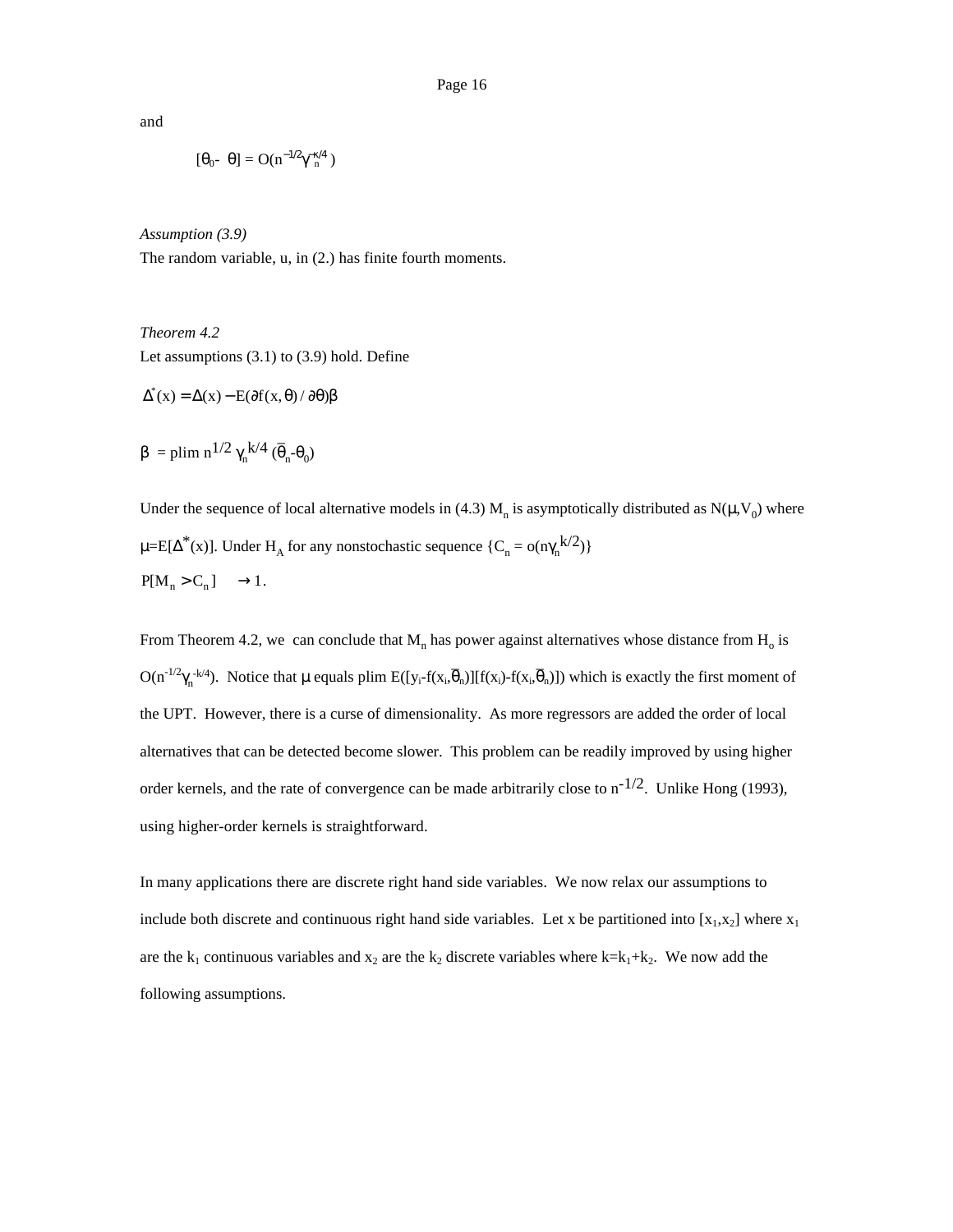and

$$
[\theta_0 \text{-} \overline{\theta}] = O(n^{-1/2} \gamma_n^{-\kappa/4})
$$

*Assumption (3.9)*

The random variable, u, in (2.) has finite fourth moments.

# *Theorem 4.2*

Let assumptions (3.1) to (3.9) hold. Define

 $\Delta^*(x) = \Delta(x) - E(\partial f(x, \theta) / \partial \theta) \beta$ 

 $β =$ plim n<sup>1/2</sup> γ<sub>n</sub>k/4 ( $\overline{θ}$  $_{n}$ - $\theta$ <sub>0</sub>)

Under the sequence of local alternative models in (4.3)  $M_n$  is asymptotically distributed as  $N(\mu, V_0)$  where  $\mu = E[\Delta^*(x)]$ . Under H<sub>A</sub> for any nonstochastic sequence  $\{C_n = o(n\gamma_n^{k/2})\}$  $P[M_n > C_n] \longrightarrow 1.$ 

From Theorem 4.2, we can conclude that  $M_n$  has power against alternatives whose distance from  $H_0$  is  $O(n^{-1/2}\gamma_n^{-k/4})$ . Notice that  $\mu$  equals plim  $E([y_i-f(x_i,\overline{\theta}$ \_ <sub>n</sub>)][f(x<sub>i</sub>)-f(x<sub>i</sub>, $\overline{\theta}$ \_ n)]) which is exactly the first moment of the UPT. However, there is a curse of dimensionality. As more regressors are added the order of local alternatives that can be detected become slower. This problem can be readily improved by using higher order kernels, and the rate of convergence can be made arbitrarily close to  $n^{-1/2}$ . Unlike Hong (1993), using higher-order kernels is straightforward.

In many applications there are discrete right hand side variables. We now relax our assumptions to include both discrete and continuous right hand side variables. Let x be partitioned into  $[x_1,x_2]$  where  $x_1$ are the  $k_1$  continuous variables and  $x_2$  are the  $k_2$  discrete variables where  $k=k_1+k_2$ . We now add the following assumptions.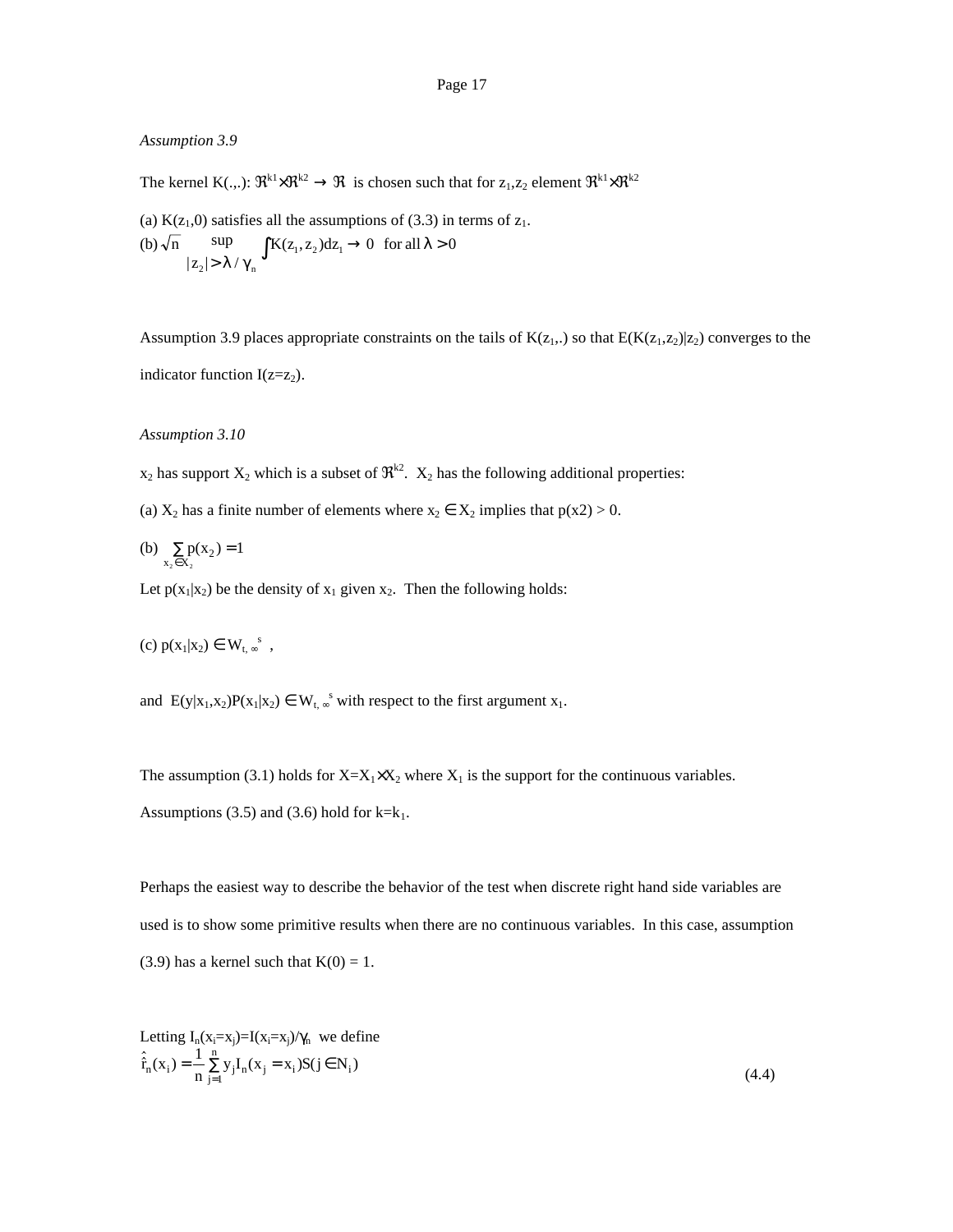## *Assumption 3.9*

The kernel  $K(.,.): \mathfrak{R}^{k_1} \times \mathfrak{R}^{k_2} \to \mathfrak{R}$  is chosen such that for  $z_1, z_2$  element  $\mathfrak{R}^{k_1} \times \mathfrak{R}^{k_2}$ 

(a)  $K(z_1,0)$  satisfies all the assumptions of (3.3) in terms of  $z_1$ . (b)  $\sqrt{n}$ z  $K(z_1, z_2)dz_1 \rightarrow 0$  for all n sup  $|z_2| > \lambda$  $(z_1, z_2)$ 2  $(z_1, z_2)dz_1 \rightarrow 0$  for all  $\lambda > 0$  $\sup>$   $\mathbf{K}(z_1, z_2) dz_1 \to 0$  for all  $\lambda >$ <br> $> \lambda / \gamma_n$ 

Assumption 3.9 places appropriate constraints on the tails of  $K(z_1, z_1)$  so that  $E(K(z_1,z_2)|z_2)$  converges to the indicator function  $I(z=z<sub>2</sub>)$ .

## *Assumption 3.10*

- $x_2$  has support  $X_2$  which is a subset of  $\mathfrak{R}^{k2}$ .  $X_2$  has the following additional properties:
- (a)  $X_2$  has a finite number of elements where  $x_2 \in X_2$  implies that  $p(x2) > 0$ .
- (b)  $\sum_{x_2 \in X_2} p(x_2) = 1$  $\sum_{x \in X_2} p(x_2) =$

Let  $p(x_1|x_2)$  be the density of  $x_1$  given  $x_2$ . Then the following holds:

(c)  $p(x_1|x_2) \in W_{t, \infty}^s$ ,

and  $E(y|x_1, x_2)P(x_1|x_2) \in W_{t, \infty}^s$  with respect to the first argument  $x_1$ .

The assumption (3.1) holds for  $X=X_1\times X_2$  where  $X_1$  is the support for the continuous variables.

Assumptions (3.5) and (3.6) hold for  $k=k_1$ .

Perhaps the easiest way to describe the behavior of the test when discrete right hand side variables are used is to show some primitive results when there are no continuous variables. In this case, assumption (3.9) has a kernel such that  $K(0) = 1$ .

Letting  $I_n(x_i=x_j)=I(x_i=x_j)/\gamma_n$  we define  $\hat{r}_n(x_i) = \frac{1}{n} \sum_{j=1}^{n} y_j I_n(x_j = x_i) S(j \in N_i)$  $=\frac{1}{n}\sum_{j=1}^{n} y_j I_n(x_j = x_i) S(j \in N_i)$  $\sum_{1} \sum_{1} \sum_{n=1}^{N} (-1)^n (1-1)^n$  (4.4)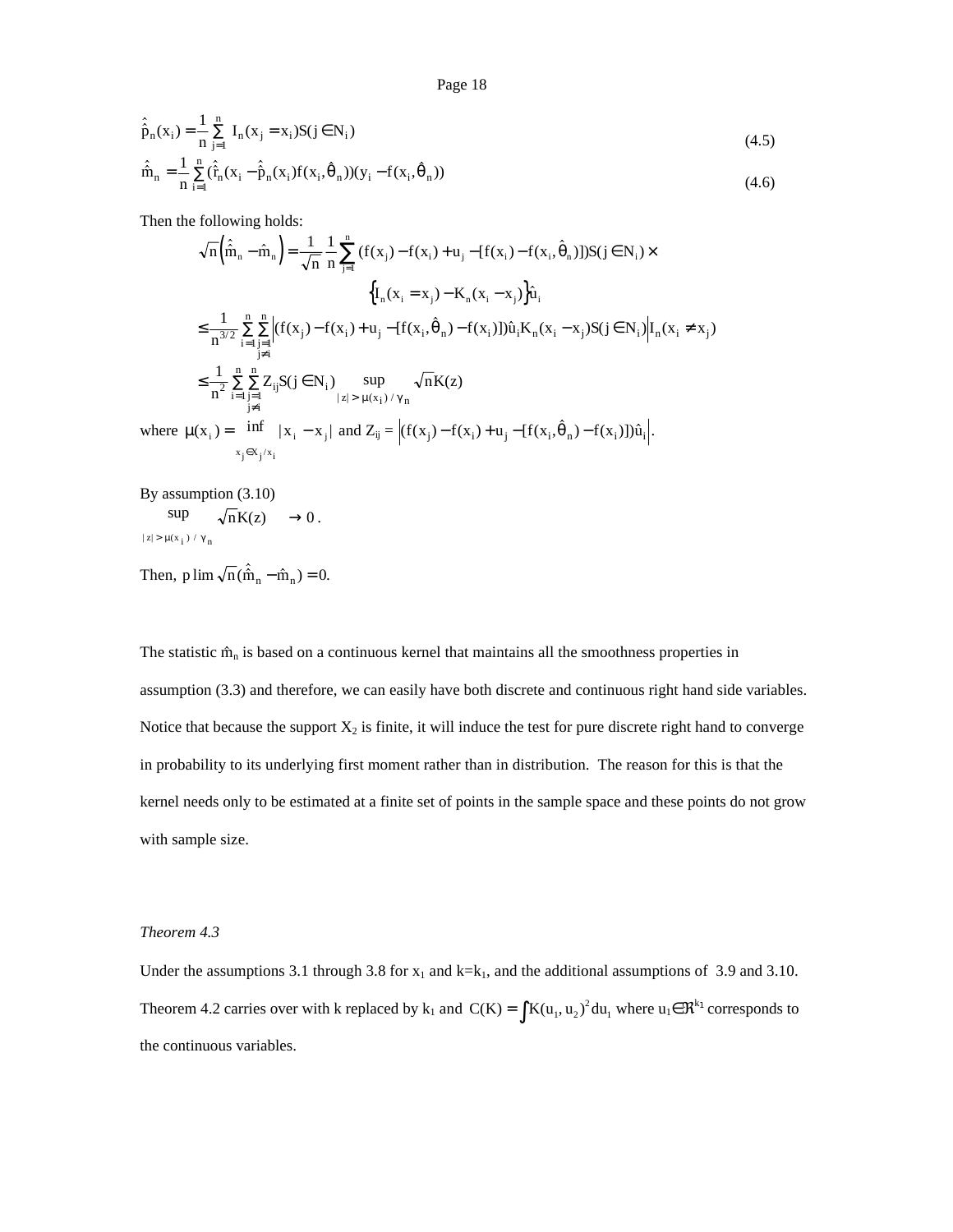$$
\hat{\hat{p}}_n(x_i) = \frac{1}{n} \sum_{j=1}^n I_n(x_j = x_i) S(j \in N_i)
$$
\n
$$
\hat{\hat{m}}_n = \frac{1}{n} \sum_{i=1}^n (\hat{f}_n(x_i - \hat{p}_n(x_i)) f(x_i, \hat{\theta}_n)) (y_i - f(x_i, \hat{\theta}_n))
$$
\n(4.6)

Then the following holds:

Then the following holds:  
\n
$$
\sqrt{n}(\hat{\hat{m}}_n - \hat{m}_n) = \frac{1}{\sqrt{n}} \frac{1}{n} \sum_{j=1}^n (f(x_j) - f(x_i) + u_j - [f(x_i) - f(x_i, \hat{\theta}_n)])S(j \in N_i) \times
$$
\n
$$
\{I_n(x_i = x_j) - K_n(x_i - x_j)\}\hat{u}_i
$$
\n
$$
\leq \frac{1}{n^{3/2}} \sum_{i=1}^n \sum_{\substack{j=1 \ j \neq i}}^n |f(x_j) - f(x_i) + u_j - [f(x_i, \hat{\theta}_n) - f(x_i)])\hat{u}_i K_n(x_i - x_j)S(j \in N_i)|I_n(x_i \neq x_j)
$$
\n
$$
\leq \frac{1}{n^2} \sum_{\substack{j=1 \ j \neq i}}^n \sum_{\substack{j=1 \ j \neq i}}^n Z_{ij}S(j \in N_i) \sup_{\substack{|z| > \mu(x_i) / \gamma_n}} \sqrt{n}K(z)
$$
\nwhere  $\mu(x_i) = \inf_{\substack{x_j \in X_j / x_i}} |x_i - x_j|$  and  $Z_{ij} = |(f(x_j) - f(x_i) + u_j - [f(x_i, \hat{\theta}_n) - f(x_i)])\hat{u}_i|$ .

By assumption (3.10)  $\sup \qquad \sqrt{n}K(z) \longrightarrow 0.$  $|z| > \mu(x_i) / \gamma_n$  $\sqrt{n}$   $\sqrt{n}$   $(2) \rightarrow 0$ .<br>  $|z| > \mu(x_i) / \gamma_n$ <br>
Then, p  $\lim_{n \to \infty} \sqrt{n} (\hat{m}_n - \hat{m}_n) = 0$ .

The statistic  $\hat{m}_n$  is based on a continuous kernel that maintains all the smoothness properties in assumption (3.3) and therefore, we can easily have both discrete and continuous right hand side variables. Notice that because the support  $X_2$  is finite, it will induce the test for pure discrete right hand to converge in probability to its underlying first moment rather than in distribution. The reason for this is that the kernel needs only to be estimated at a finite set of points in the sample space and these points do not grow with sample size.

## *Theorem 4.3*

Under the assumptions 3.1 through 3.8 for  $x_1$  and  $k=k_1$ , and the additional assumptions of 3.9 and 3.10. Theorem 4.2 carries over with k replaced by  $k_1$  and  $C(K) = \int K(u_1, u_2)^2 du_1$  where  $u_1 \in \mathbb{R}^{k_1}$  corresponds to the continuous variables.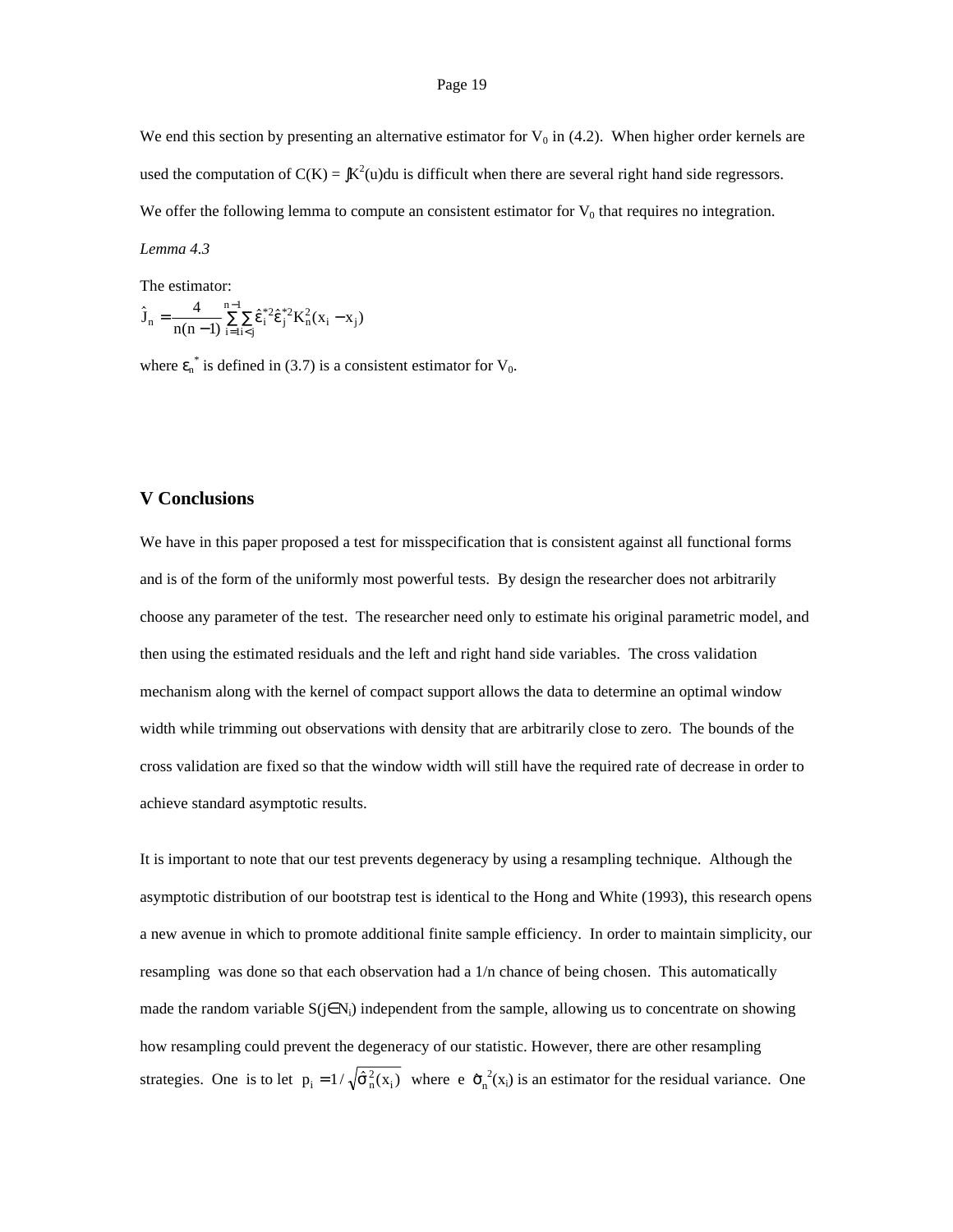We end this section by presenting an alternative estimator for  $V_0$  in (4.2). When higher order kernels are used the computation of  $C(K) = \int K^2(u) du$  is difficult when there are several right hand side regressors. We offer the following lemma to compute an consistent estimator for  $V_0$  that requires no integration.

### *Lemma 4.3*

The estimator:

The estimator:  
\n
$$
\hat{J}_n = \frac{4}{n(n-1)} \sum_{i=1}^{n-1} \sum_{i \le j} \hat{\epsilon}_i^{*2} \hat{\epsilon}_j^{*2} K_n^2 (x_i - x_j)
$$

where  $\varepsilon_n^*$  is defined in (3.7) is a consistent estimator for  $V_0$ .

# **V Conclusions**

We have in this paper proposed a test for misspecification that is consistent against all functional forms and is of the form of the uniformly most powerful tests. By design the researcher does not arbitrarily choose any parameter of the test. The researcher need only to estimate his original parametric model, and then using the estimated residuals and the left and right hand side variables. The cross validation mechanism along with the kernel of compact support allows the data to determine an optimal window width while trimming out observations with density that are arbitrarily close to zero. The bounds of the cross validation are fixed so that the window width will still have the required rate of decrease in order to achieve standard asymptotic results.

It is important to note that our test prevents degeneracy by using a resampling technique. Although the asymptotic distribution of our bootstrap test is identical to the Hong and White (1993), this research opens a new avenue in which to promote additional finite sample efficiency. In order to maintain simplicity, our resampling was done so that each observation had a 1/n chance of being chosen. This automatically made the random variable  $S(j\in N_i)$  independent from the sample, allowing us to concentrate on showing how resampling could prevent the degeneracy of our statistic. However, there are other resampling how resampling could prevent the degeneracy of our statistic. However, there are other resampling strategies. One is to let  $p_i = 1/\sqrt{\hat{\sigma}_n^2(x_i)}$  where  $e \hat{\sigma}_n^2(x_i)$  is an estimator for the residual variance. One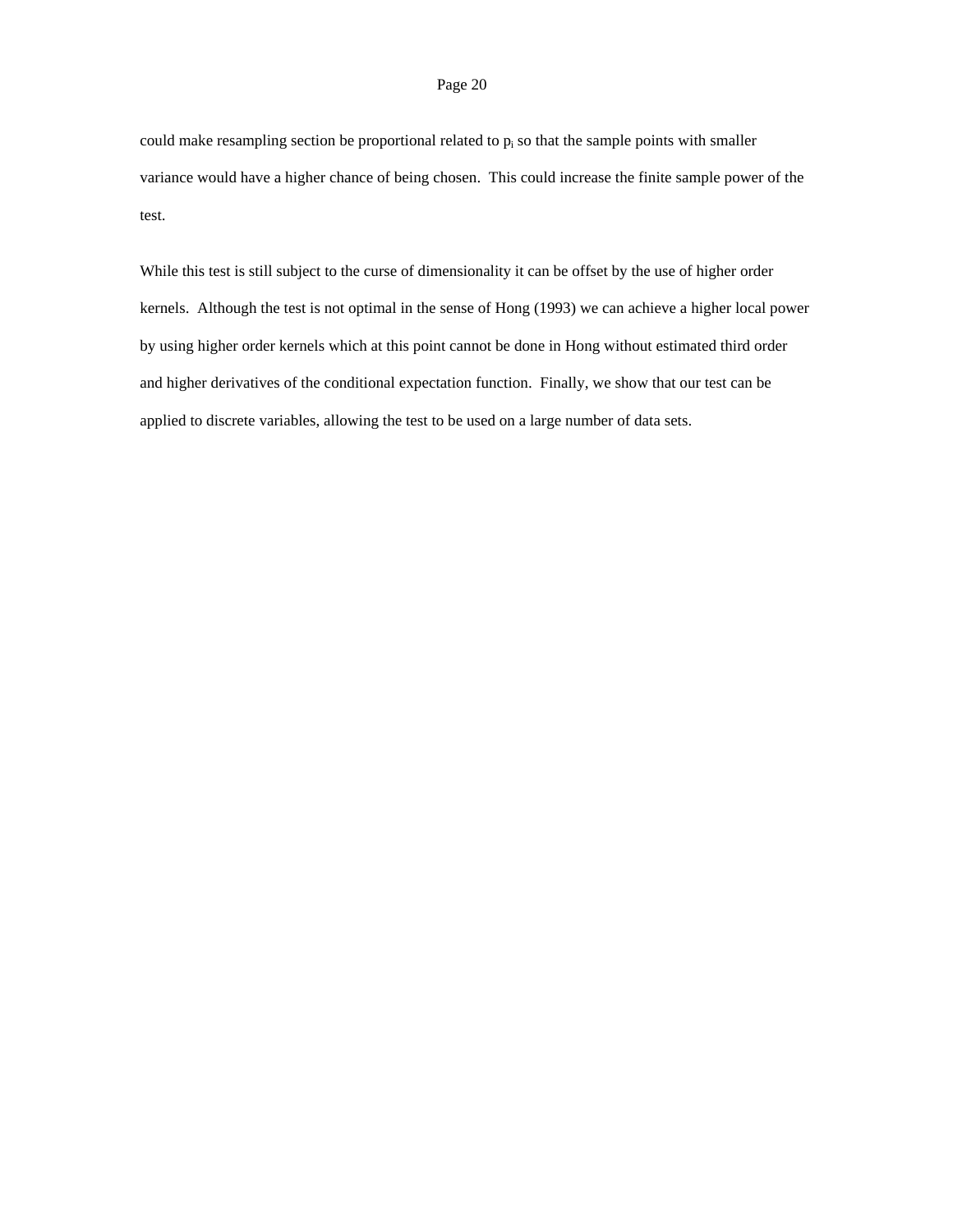could make resampling section be proportional related to  $p_i$  so that the sample points with smaller variance would have a higher chance of being chosen. This could increase the finite sample power of the test.

While this test is still subject to the curse of dimensionality it can be offset by the use of higher order kernels. Although the test is not optimal in the sense of Hong (1993) we can achieve a higher local power by using higher order kernels which at this point cannot be done in Hong without estimated third order and higher derivatives of the conditional expectation function. Finally, we show that our test can be applied to discrete variables, allowing the test to be used on a large number of data sets.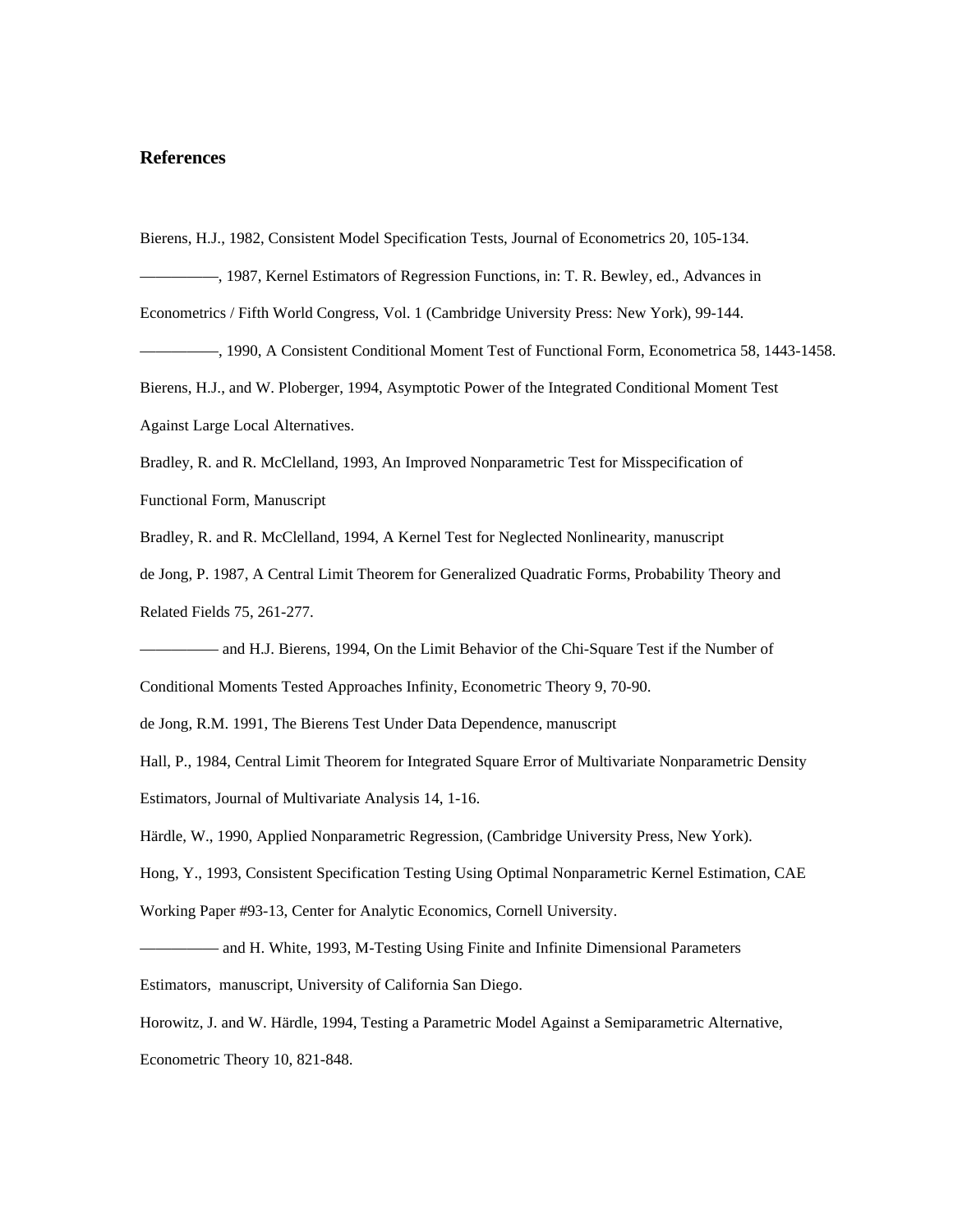## **References**

Bierens, H.J., 1982, Consistent Model Specification Tests, Journal of Econometrics 20, 105-134.

—————, 1987, Kernel Estimators of Regression Functions, in: T. R. Bewley, ed., Advances in

Econometrics / Fifth World Congress, Vol. 1 (Cambridge University Press: New York), 99-144.

—————, 1990, A Consistent Conditional Moment Test of Functional Form, Econometrica 58, 1443-1458.

Bierens, H.J., and W. Ploberger, 1994, Asymptotic Power of the Integrated Conditional Moment Test

Against Large Local Alternatives.

Bradley, R. and R. McClelland, 1993, An Improved Nonparametric Test for Misspecification of

Functional Form, Manuscript

Bradley, R. and R. McClelland, 1994, A Kernel Test for Neglected Nonlinearity, manuscript

de Jong, P. 1987, A Central Limit Theorem for Generalized Quadratic Forms, Probability Theory and Related Fields 75, 261-277.

- and H.J. Bierens, 1994, On the Limit Behavior of the Chi-Square Test if the Number of

Conditional Moments Tested Approaches Infinity, Econometric Theory 9, 70-90.

de Jong, R.M. 1991, The Bierens Test Under Data Dependence, manuscript

Hall, P., 1984, Central Limit Theorem for Integrated Square Error of Multivariate Nonparametric Density Estimators, Journal of Multivariate Analysis 14, 1-16.

Härdle, W., 1990, Applied Nonparametric Regression, (Cambridge University Press, New York).

Hong, Y., 1993, Consistent Specification Testing Using Optimal Nonparametric Kernel Estimation, CAE

Working Paper #93-13, Center for Analytic Economics, Cornell University.

————— and H. White, 1993, M-Testing Using Finite and Infinite Dimensional Parameters

Estimators, manuscript, University of California San Diego.

Horowitz, J. and W. Härdle, 1994, Testing a Parametric Model Against a Semiparametric Alternative,

Econometric Theory 10, 821-848.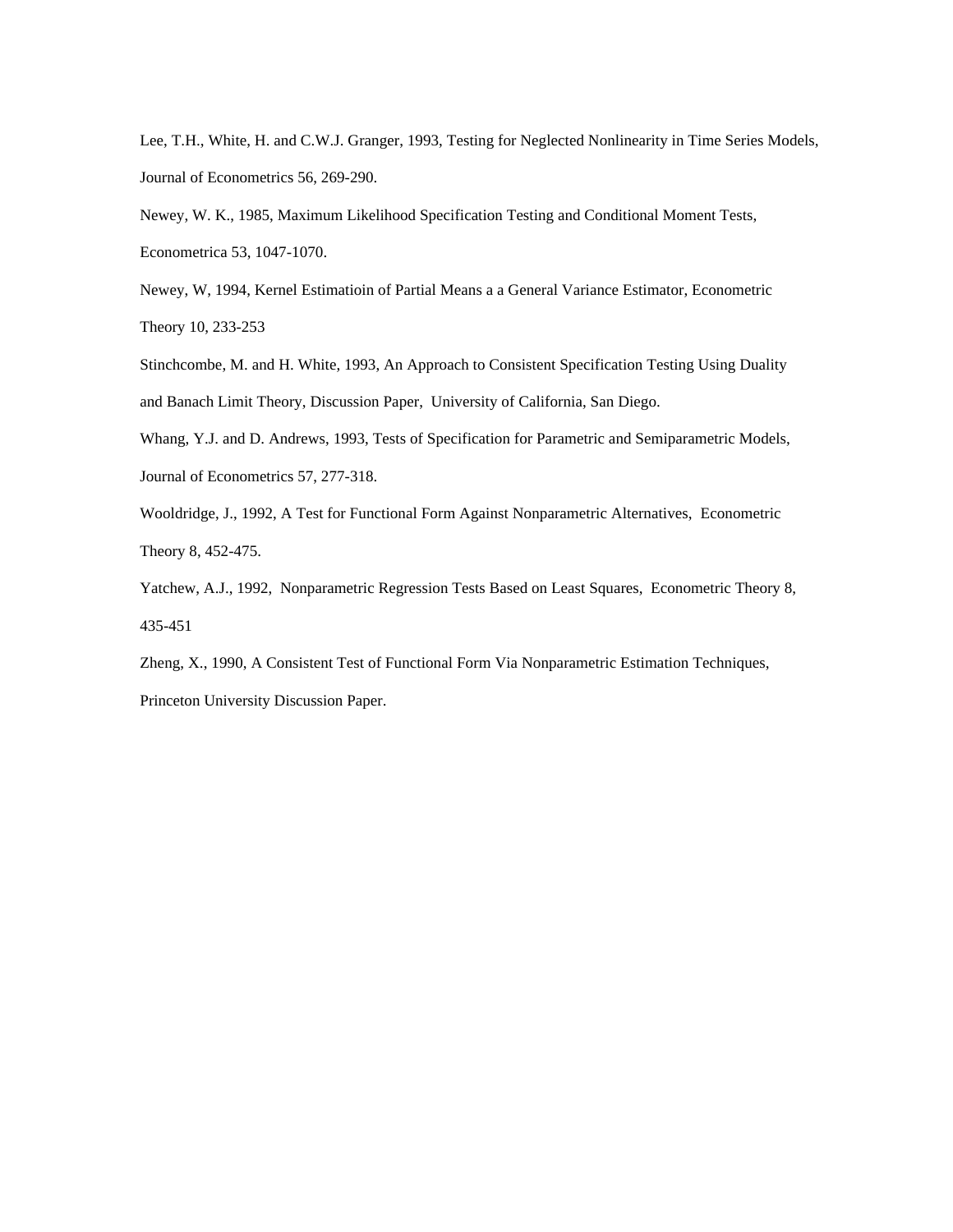Lee, T.H., White, H. and C.W.J. Granger, 1993, Testing for Neglected Nonlinearity in Time Series Models, Journal of Econometrics 56, 269-290.

Newey, W. K., 1985, Maximum Likelihood Specification Testing and Conditional Moment Tests, Econometrica 53, 1047-1070.

Newey, W, 1994, Kernel Estimatioin of Partial Means a a General Variance Estimator, Econometric Theory 10, 233-253

Stinchcombe, M. and H. White, 1993, An Approach to Consistent Specification Testing Using Duality and Banach Limit Theory, Discussion Paper, University of California, San Diego.

Whang, Y.J. and D. Andrews, 1993, Tests of Specification for Parametric and Semiparametric Models, Journal of Econometrics 57, 277-318.

Wooldridge, J., 1992, A Test for Functional Form Against Nonparametric Alternatives, Econometric Theory 8, 452-475.

Yatchew, A.J., 1992, Nonparametric Regression Tests Based on Least Squares, Econometric Theory 8, 435-451

Zheng, X., 1990, A Consistent Test of Functional Form Via Nonparametric Estimation Techniques,

Princeton University Discussion Paper.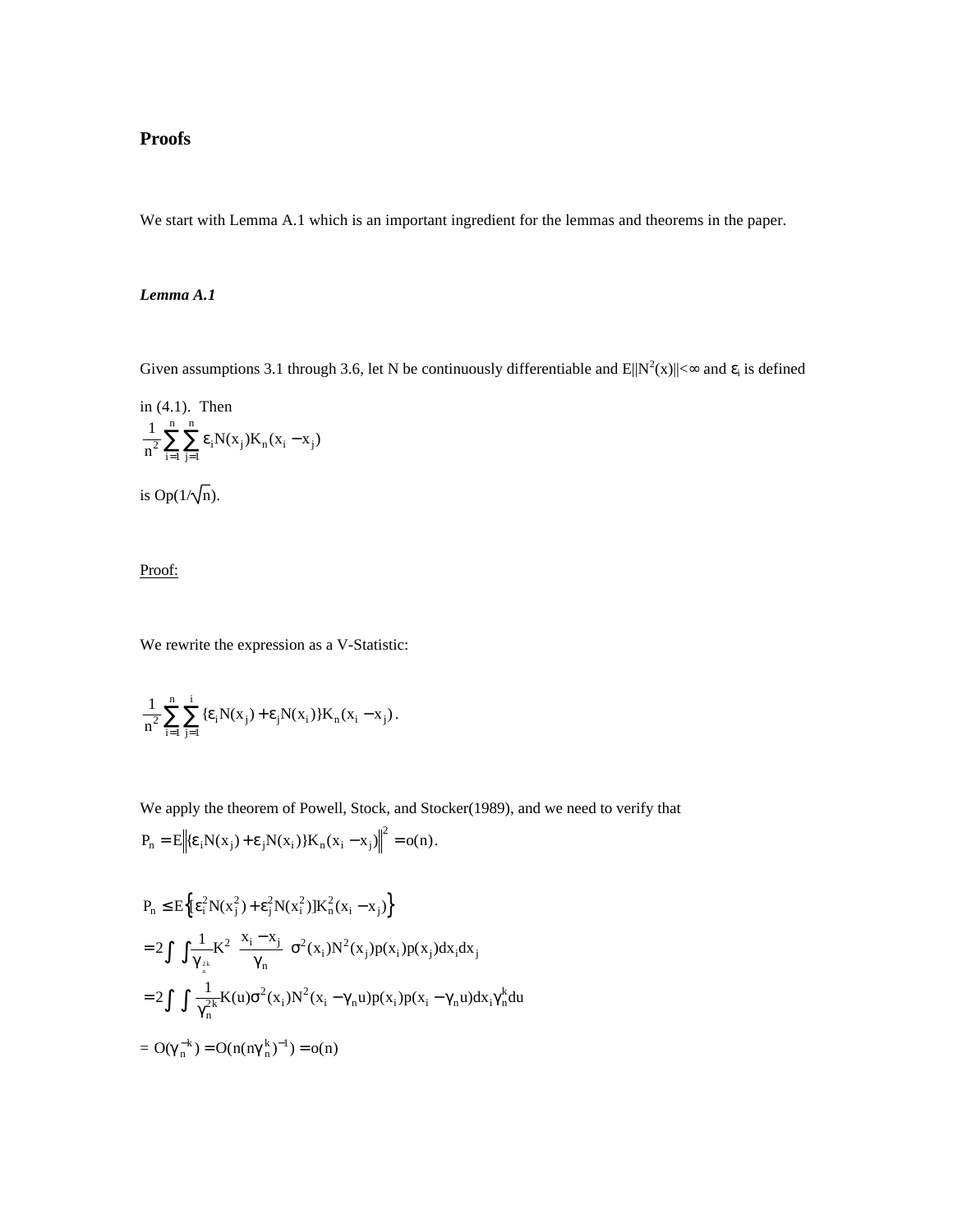# **Proofs**

We start with Lemma A.1 which is an important ingredient for the lemmas and theorems in the paper.

## *Lemma A.1*

Given assumptions 3.1 through 3.6, let N be continuously differentiable and  $E||N^2(x)|| < \infty$  and  $\varepsilon_i$  is defined

in (4.1). Then  
\n
$$
\frac{1}{n^2} \sum_{i=1}^{n} \sum_{j=1}^{n} \varepsilon_i N(x_j) K_n (x_i - x_j)
$$
\nis Op(1/ $\sqrt{n}$ ).

Proof:

We rewrite the expression as a V-Statistic:

$$
\frac{1}{n^2}\sum_{i=1}^n\sum_{j=1}^i\{\epsilon_iN(x_j)+\epsilon_jN(x_i)\}K_n(x_i-x_j)\,.
$$

We apply the theorem of Powell, Stock, and Stocker(1989), and we need to verify that

$$
P_n = E \bigg\| \{\varepsilon_i N(x_j) + \varepsilon_j N(x_i)\} K_n(x_i - x_j) \bigg\|^2 = o(n).
$$

$$
P_n \le E\Big\{ \Big[E_1^2 N(x_j^2) + \varepsilon_j^2 N(x_i^2) \Big] K_n^2 (x_i - x_j) \Big\}
$$
  
= 2 \int \int \frac{1}{\gamma\_{\frac{2k}{n}}} K^2 \Big( \frac{x\_i - x\_j}{\gamma\_n} \Big) \sigma^2(x\_i) N^2(x\_j) p(x\_i) p(x\_j) dx\_i dx\_j  
= 2 \int \int \frac{1}{\gamma\_n^{2k}} K(u) \sigma^2(x\_i) N^2(x\_i - \gamma\_n u) p(x\_i) p(x\_i - \gamma\_n u) dx\_i \gamma\_n^k du  
= O(\gamma\_n^{-k}) = O(n(\eta \gamma\_n^{k})^{-1}) = o(n)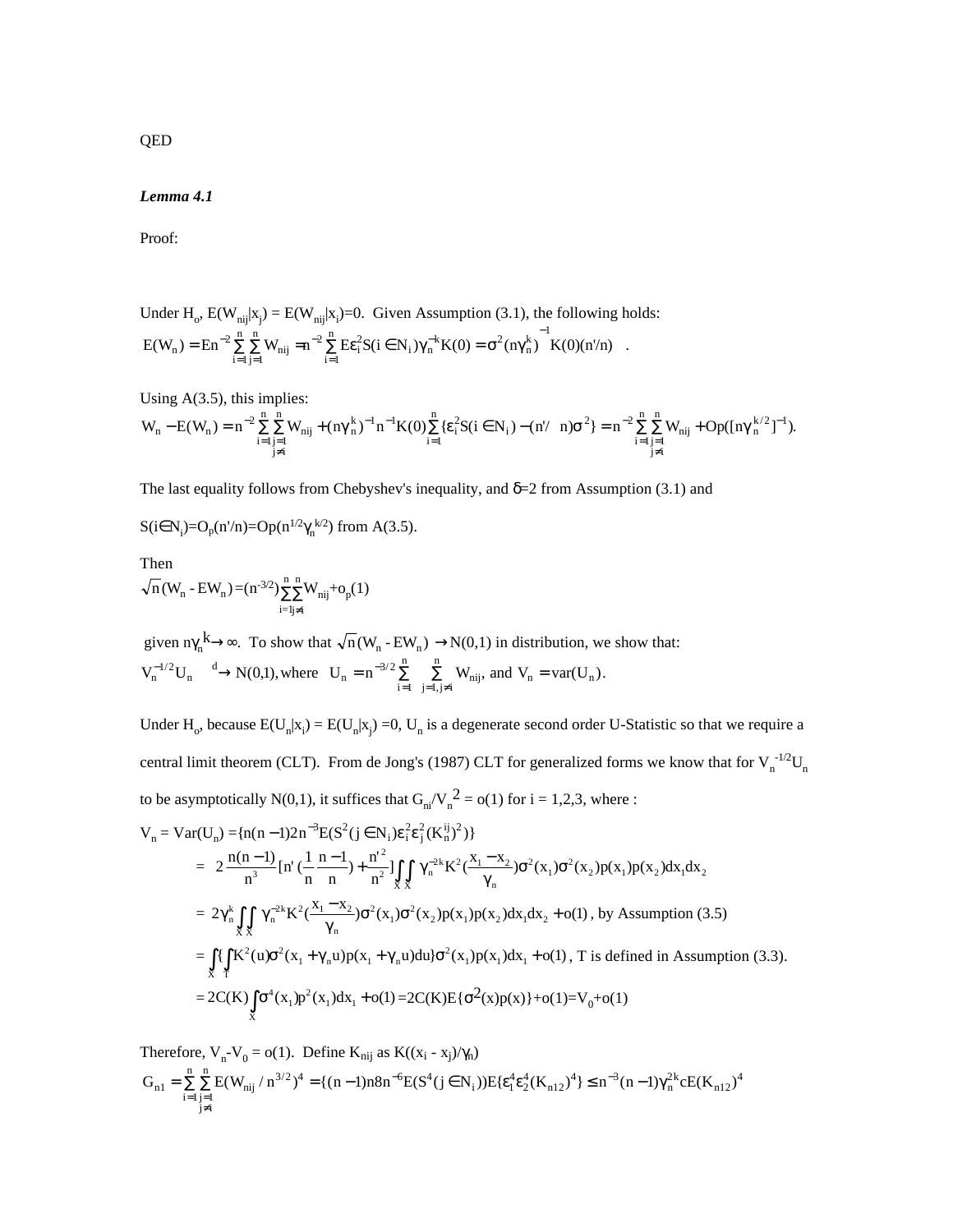## *Lemma 4.1*

Proof:

Under  $H_o$ ,  $E(W_{nij}|x_j) = E(W_{nij}|x_i) = 0$ . Given Assumption (3.1), the following holds:  $E(W_n) = E n^{-2} \sum_{i=1}^{n} \sum_{j=1}^{n} W_{nij} = n^{-2} \sum_{i=1}^{n} E \varepsilon_i^2 S(i \in N_i) \gamma_n^{-k} K(0) = \sigma^2 (n \gamma_n^k)^{-1} K$ i n  ${}_{i}^{2}S(i \in N_{i})\gamma_{n}^{-k}K(0) = \sigma^{2}(n\gamma_{n}^{k})$ i  $(W_n) = \text{En}^{-2} \sum_{i=1}^{n} \sum_{j=1}^{n} W_{nij} = n^{-2} \sum_{i=1}^{n} \text{E} \varepsilon_i^2 S(i \in N_i) \gamma_n^{-k} K(0) = \sigma^2 (n \gamma_n^k)$  $-2\sqrt{\frac{1}{2}} E_0^2 S(i - N)x^{-1}$ =  $2\sum_{i=1}^{n} \sum_{i=1}^{n} W_i = n^{-2} \sum_{i=1}^{n} E_i^2 S(i \in N) N^{-k} K(0) = \sigma^2 (n N^k)$  $1 j=1$  $2 \frac{\mu}{2} E_2^2 S (i - N) \nu^{-k} K (0) - \sigma^2$ 1 1  $\varepsilon_i^2 S(i \in N_i) \gamma_n^{-k} K(0) = \sigma^2(n \gamma_n^k)$   $K(0)(n/n)$ .

Using  $A(3.5)$ , this implies:

$$
W_n-E(W_n)=n^{-2}\sum_{\substack{i=1\\j\neq i}}^n\sum_{j=1}^n W_{nij}+(n\gamma_n^k)^{-1}n^{-1}K(0)\sum_{i=1}^n\{\epsilon_i^2S(i\in N_i)-(n^\prime-n)\sigma^2\}=n^{-2}\sum_{\substack{i=1\\j\neq i}}^n\sum_{j=1}^n W_{nij}+Op([\boldsymbol{n}\gamma_n^{k/2}]^{-1}).
$$

The last equality follows from Chebyshev's inequality, and  $\delta=2$  from Assumption (3.1) and

$$
S(i \in N_i)=O_p(n'/n)=Op(n^{1/2}\gamma_n^{k/2})
$$
 from A(3.5).

Then  $n(W_n - EW_n) = (n^{-3/2})\sum_{n=1}^{n}$ i=1 n n<br>ΣΣ j≠i  $\sum_{\text{n}}^{\text{n}} W_{\text{nij}} + o_p(1)$ 

given  $n\gamma_n^k \to \infty$ . To show that  $\sqrt{n}(W_n - EW_n) \to N(0,1)$  in distribution, we show that:  $V_n^{-1/2}U_n \longrightarrow N(0,1)$ , where  $U_n = n^{-3/2} \sum_{i=1}^n \sum_{j=1, j \neq i}^n W_{nij}$ , and  $V_n = \text{var}(U_n)$ n  $\sum_{i=1}$   $\sum_{j=1, j\neq i}$   $w_{nij}$ , and  $v_n - va($  $v_n)$  $^{-1/2}$ <sub>LI</sub> d N<sub>I</sub>(0.1) where  $I_1 = n^{-3/2} \sum_{n=1}^{n}$  ${}^{1/2}U_n \xrightarrow{d} N(0,1)$ , where  $U_n = n^{-3/2} \sum_{i=1}^{\infty} \sum_{j=1, j\neq i}^{\infty} W_{nij}$ , and  $V_n = \text{var}(U_n)$ .

Under H<sub>o</sub>, because  $E(U_n|x_i) = E(U_n|x_j) = 0$ ,  $U_n$  is a degenerate second order U-Statistic so that we require a central limit theorem (CLT). From de Jong's (1987) CLT for generalized forms we know that for  $V_n^{-1/2}U_n$ to be asymptotically N(0,1), it suffices that  $G_{ni}/V_n^2 = o(1)$  for  $i = 1,2,3$ , where :

$$
V_{n} = Var(U_{n}) = {n(n-1)2n^{-3}E(S^{2}(j \in N_{i})\epsilon_{i}^{2}\epsilon_{j}^{2}(K_{n}^{ij})^{2})}
$$
\n
$$
= 2 \frac{n(n-1)}{n^{3}} [n'(\frac{1}{n} \frac{n-1}{n}) + \frac{n^{2}}{n^{2}}] \iint_{X} \gamma_{n}^{-2k} K^{2}(\frac{x_{1} - x_{2}}{\gamma_{n}}) \sigma^{2}(x_{1}) \sigma^{2}(x_{2}) p(x_{1}) p(x_{2}) dx_{1} dx_{2}
$$
\n
$$
= 2\gamma_{n}^{k} \iint_{X} \gamma_{n}^{-2k} K^{2}(\frac{x_{1} - x_{2}}{\gamma_{n}}) \sigma^{2}(x_{1}) \sigma^{2}(x_{2}) p(x_{1}) p(x_{2}) dx_{1} dx_{2} + o(1), \text{ by Assumption (3.5)}
$$
\n
$$
= \iint_{X} \iint_{X} K^{2}(u) \sigma^{2}(x_{1} + \gamma_{n}u) p(x_{1} + \gamma_{n}u) du d\sigma^{2}(x_{1}) p(x_{1}) dx_{1} + o(1), \text{T is defined in Assumption (3.3)}.
$$
\n
$$
= 2C(K) \int_{X} \sigma^{4}(x_{1}) p^{2}(x_{1}) dx_{1} + o(1) = 2C(K)E{\sigma^{2}(x)p(x)} + o(1) = V_{0} + o(1)
$$

Therefore,  $V_n - V_0 = o(1)$ . Define  $K_{nij}$  as  $K((x_i - x_j)/\gamma_n)$  $G_{n1} = \sum_{\substack{i=1 \ i \neq j}} \sum_{j=1 \ i \neq j} E(W_{nij} / n^{3/2})^4 = \{(n-1)n8n^{-6}E(S^4(j \in N_i))E\{\epsilon_1^4 \epsilon_2^4(K_{n12})^4\} \leq n^{-3}(n-1)\gamma_n^{2k}cE(K_{n12})$ n i n  $n_1 = \sum_{i=1}^{n} \sum_{i=1}^{n} E(W_{nij} / n^{3/2})^4 = \{(n-1)n8n^{-6}E(S^4(j \in N_i))E\{\epsilon_1^4 \epsilon_2^4(K_{n12})^4\} \leq n^{-3}(n-1)\gamma_n^{2k}cE(K_n)$  $1 j=1$  $=\sum_{i=1}^{n}\sum_{\substack{j=1 \ j\neq i}}^{n} E(W_{nij}/n^{3/2})^4 = {(n-1)n8n^{-6}E(S^4(j \in N_i))E{ε_1^4ε_2^4(K_{n12})^4}} \leq n^{-3}(n-1)\gamma_n^{2k}cE(K_{n12})^4$ 

QED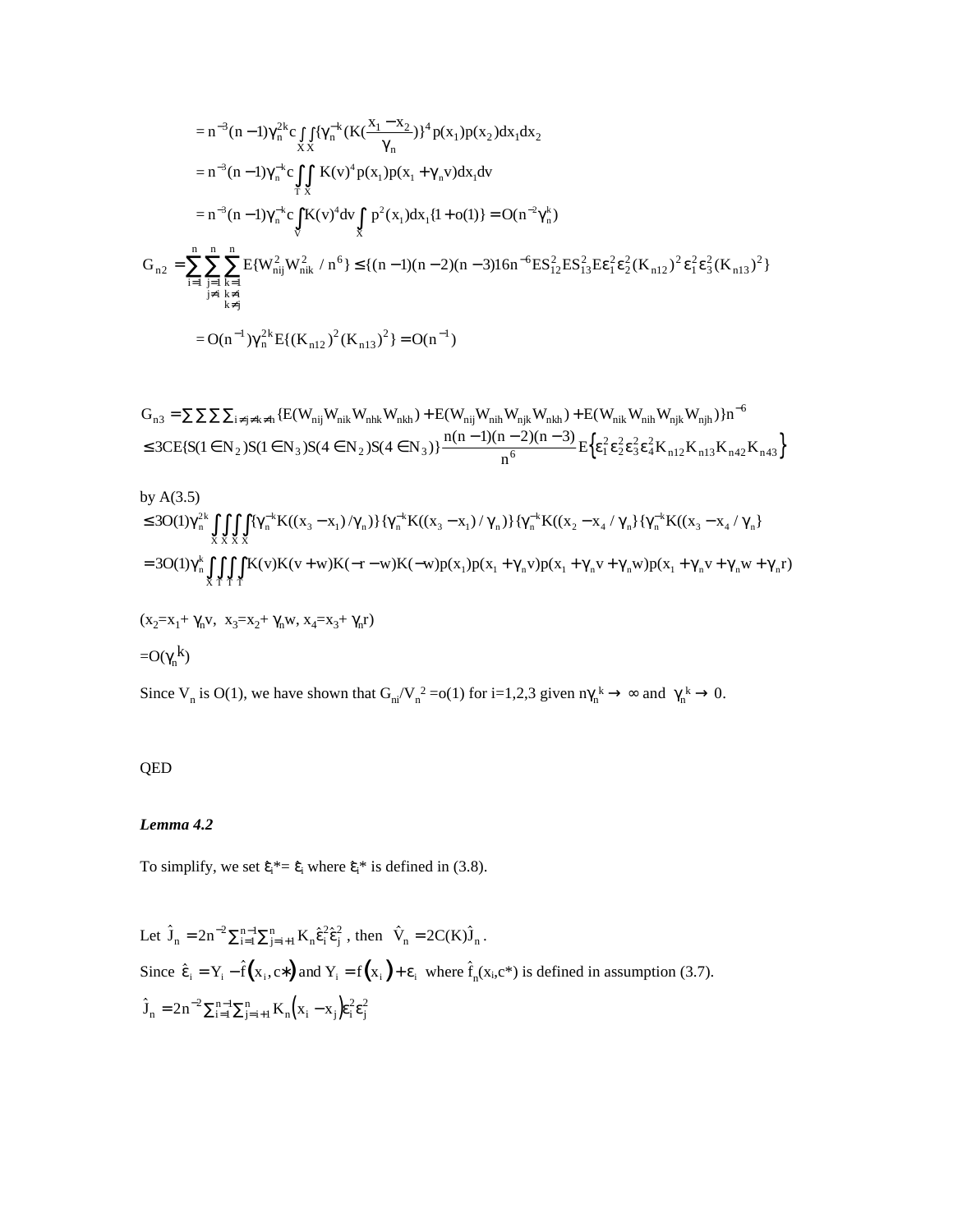$$
= n^{-3}(n-1)\gamma_n^{2k}c\int_{XX} {\{\gamma_n^{-k}(K(\frac{x_1 - x_2}{\gamma_n})\}^4 p(x_1)p(x_2)dx_1 dx_2 \over \gamma_n} = n^{-3}(n-1)\gamma_n^{-k}c\int_{TX} K(v)^4 p(x_1)p(x_1 + \gamma_n v)dx_1 dv = n^{-3}(n-1)\gamma_n^{-k}c\int_{V} K(v)^4 dv\int_{X} p^2(x_1)dx_1\{1+o(1)\} = O(n^{-2}\gamma_n^k) G_{n2} = \sum_{i=1}^n \sum_{\substack{j=1 \ j \neq i}}^n \sum_{\substack{k=1 \ j \neq i}}^n E\{W_{nij}^2W_{nk}^2 / n^6\} \le \{(n-1)(n-2)(n-3)16n^{-6}ES_{12}^2ES_{13}^2E\epsilon_1^2\epsilon_2^2(K_{n12})^2\epsilon_1^2\epsilon_3^2(K_{n13})^2\} = O(n^{-1})\gamma_n^{2k}E\{(K_{n12})^2(K_{n13})^2\} = O(n^{-1})
$$

$$
\begin{aligned} G_{n3} & = \sum \sum \sum \sum_{i \neq j \neq k \neq h} \{ E(W_{nij} W_{nik} W_{nkk} W_{nkh}) + E(W_{nij} W_{nih} W_{njk} W_{nkh}) + E(W_{nik} W_{nih} W_{njk} W_{njh}) \} n^{-6} \\ & \leq 3CE \{ S(1 \in N_2) S(1 \in N_3) S(4 \in N_2) S(4 \in N_3) \} \frac{n(n-1)(n-2)(n-3)}{n^6} E \Big\{ \epsilon_1^2 \epsilon_2^2 \epsilon_3^2 \epsilon_4^2 K_{n12} K_{n13} K_{n42} K_{n43} \Big\} \end{aligned}
$$

by A(3.5)  
\n
$$
\leq 30(1)\gamma_n^{2k} \iiint_{X \times X} {\{\gamma_n^{-k}K((x_3 - x_1)/\gamma_n)\}\{\gamma_n^{-k}K((x_3 - x_1)/\gamma_n)\}\{\gamma_n^{-k}K((x_2 - x_4/\gamma_n)\{\gamma_n^{-k}K((x_3 - x_4/\gamma_n)\}\gamma_n^{-k}K((x_3 - x_4/\gamma_n)\}\gamma_n^{-k}K((x_3 - x_4/\gamma_n)\gamma_n^{-k}K((x_3 - x_4/\gamma_n)\gamma_n^{-k}K((x_3 - x_4/\gamma_n)\gamma_n^{-k}K((x_3 - x_4/\gamma_n)\gamma_n^{-k}K((x_3 - x_4/\gamma_n)\gamma_n^{-k}K((x_3 - x_4/\gamma_n)\gamma_n^{-k}K((x_3 - x_4/\gamma_n)\gamma_n^{-k}K((x_3 - x_4/\gamma_n)\gamma_n^{-k}K((x_3 - x_4/\gamma_n)\gamma_n^{-k}K((x_3 - x_4/\gamma_n)\gamma_n^{-k}K((x_3 - x_4/\gamma_n)\gamma_n^{-k}K((x_3 - x_4/\gamma_n)\gamma_n^{-k}K((x_3 - x_4/\gamma_n)\gamma_n^{-k}K((x_3 - x_4/\gamma_n)\gamma_n^{-k}K((x_3 - x_4/\gamma_n)\gamma_n^{-k}K((x_3 - x_4/\gamma_n)\gamma_n^{-k}K((x_3 - x_4/\gamma_n)\gamma_n^{-k}K((x_3 - x_4/\gamma_n)\gamma_n^{-k}K((x_3 - x_4/\gamma_n)\gamma_n^{-k}K((x_3 - x_4/\gamma_n)\gamma_n^{-k}K((x_3 - x_4/\gamma_n)\gamma_n^{-k}K((x_3 - x_4/\gamma_n)\gamma_n^{-k}K((x_3 - x_4/\gamma_n)\gamma_n^{-k}K((x_3 - x_4/\gamma_n)\gamma_n^{-k}K((x_3 - x_4/\gamma_n)\gamma_n^{-k}K((x_3 - x_4/\gamma_n)\gamma_n^{-k}K((x_3 - x_4/\gamma_n)\gamma_n^{-k}K((x_3 - x_4/\gamma_n)\gamma_n^{-k}K((x_3 - x_4/\gamma_n)\gamma_n^{-k}K((x_3 - x_4/\gamma_n)\gamma_n^{-k}K((x_3 - x_4/\gamma_n)\gamma_n^{-k}K((x_3 - x_4/\gamma_n)\gamma_n^{-k}K((x_3 - x_4/\gamma_n)\gamma_n^{-k}K((x_3 - x_4/\gamma_n)\gamma_n^{-k}K((x_3 - x_
$$

Since  $V_n$  is O(1), we have shown that  $G_{ni}/V_n^2 = o(1)$  for i=1,2,3 given  $n\gamma_n^k \to \infty$  and  $\gamma_n^k \to 0$ .

# QED

# *Lemma 4.2*

To simplify, we set  $\hat{\epsilon}_i^* = \hat{\epsilon}_i$  where  $\hat{\epsilon}_i^*$  is defined in (3.8).

Let 
$$
\hat{J}_n = 2n^{-2} \sum_{i=1}^{n-1} \sum_{j=i+1}^{n} K_n \hat{\epsilon}_i^2 \hat{\epsilon}_j^2
$$
, then  $\hat{V}_n = 2C(K)\hat{J}_n$ .  
\nSince  $\hat{\epsilon}_i = Y_i - \hat{f}(x_i, c^*)$  and  $Y_i = f(x_i) + \epsilon_i$  where  $\hat{f}_n(x_i, c^*)$  is defined in assumption (3.7).  
\n $\hat{J}_n = 2n^{-2} \sum_{i=1}^{n-1} \sum_{j=i+1}^{n} K_n (x_i - x_j) \hat{\epsilon}_i^2 \hat{\epsilon}_j^2$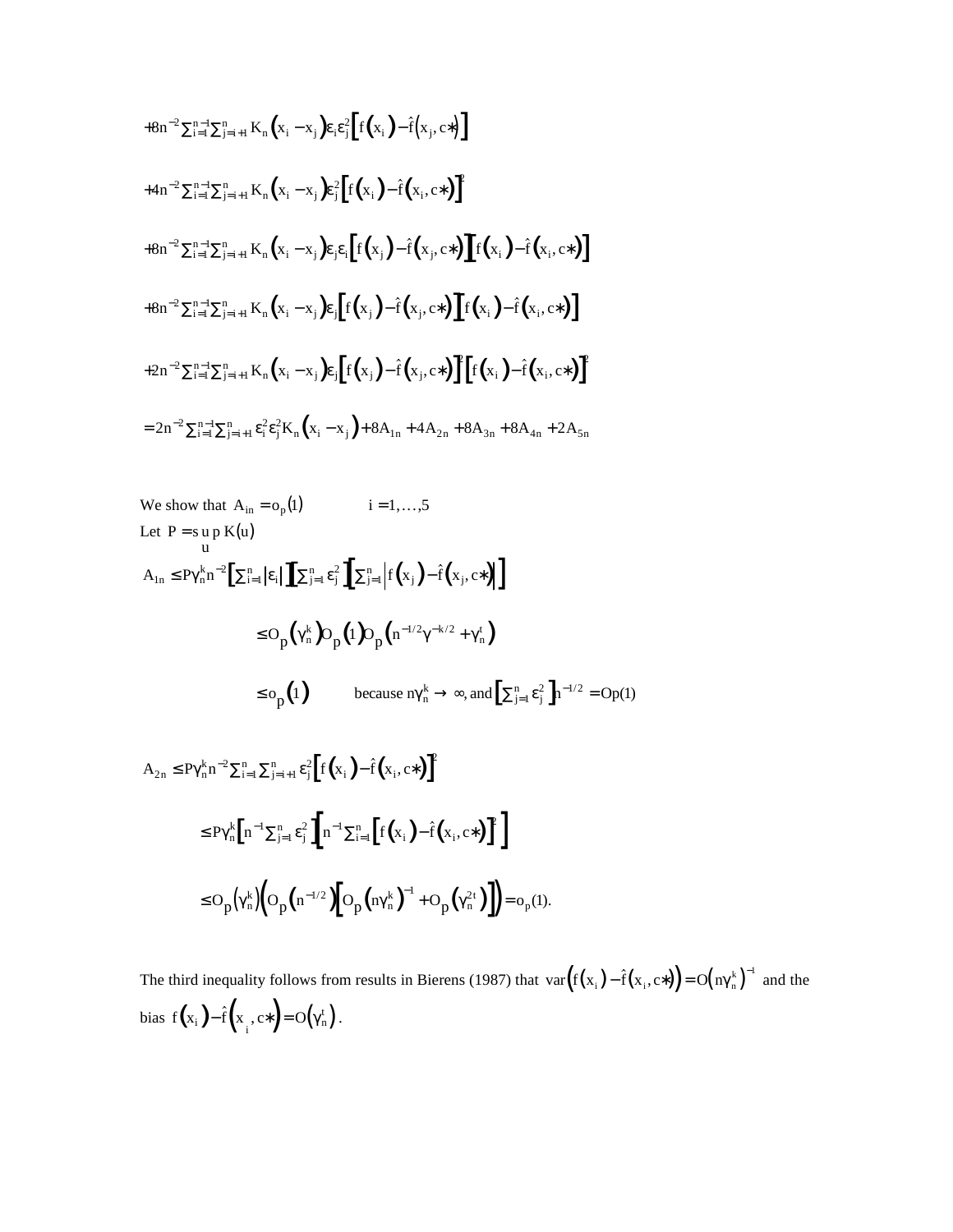$$
+8n^{-2}\sum_{i=1}^{n-1}\sum_{j=i+1}^{n}K_{n}(x_{i}-x_{j})\mathbf{\varepsilon}_{i}\mathbf{\varepsilon}_{j}^{2}[f(x_{i})-\hat{f}(x_{j},c^{*})]
$$
  
\n
$$
+4n^{-2}\sum_{i=1}^{n-1}\sum_{j=i+1}^{n}K_{n}(x_{i}-x_{j})\mathbf{\varepsilon}_{j}^{2}[f(x_{i})-\hat{f}(x_{i},c^{*})]^{2}
$$
  
\n
$$
+8n^{-2}\sum_{i=1}^{n-1}\sum_{j=i+1}^{n}K_{n}(x_{i}-x_{j})\mathbf{\varepsilon}_{j}\mathbf{\varepsilon}_{i}[f(x_{j})-\hat{f}(x_{j},c^{*})][f(x_{i})-\hat{f}(x_{i},c^{*})]
$$
  
\n
$$
+8n^{-2}\sum_{i=1}^{n-1}\sum_{j=i+1}^{n}K_{n}(x_{i}-x_{j})\mathbf{\varepsilon}_{j}[f(x_{j})-\hat{f}(x_{j},c^{*})][f(x_{i})-\hat{f}(x_{i},c^{*})]
$$
  
\n
$$
+2n^{-2}\sum_{i=1}^{n-1}\sum_{j=i+1}^{n}K_{n}(x_{i}-x_{j})\mathbf{\varepsilon}_{j}[f(x_{j})-\hat{f}(x_{j},c^{*})][f(x_{i})-\hat{f}(x_{i},c^{*})]^{2}
$$
  
\n
$$
=2n^{-2}\sum_{i=1}^{n-1}\sum_{j=i+1}^{n}\varepsilon_{i}^{2}\mathbf{\varepsilon}_{j}^{2}K_{n}(x_{i}-x_{j})+8A_{1n}+4A_{2n}+8A_{3n}+8A_{4n}+2A_{5n}
$$

We show that 
$$
A_{in} = o_p(1)
$$
  $i = 1,...,5$   
\nLet  $P = s$  up  $K(u)$   
\n
$$
A_{1n} \le P\gamma_n^k n^{-2} \Big[ \sum_{i=1}^n |\epsilon_i| \Big] \Big[ \sum_{j=1}^n \epsilon_j^2 \Big] \Big[ \sum_{j=1}^n \Big| f(x_j) - \hat{f}(x_j, c^*) \Big] \Big]
$$
\n
$$
\le O_p(\gamma_n^k) O_p(i) O_p(n^{-1/2}\gamma^{-k/2} + \gamma_n^t)
$$
\n
$$
\le o_p(i) \qquad \text{because } \eta_n^k \to \infty, \text{ and } \Big[ \sum_{j=1}^n \epsilon_j^2 \Big] n^{-1/2} = O_p(i)
$$
\n
$$
A_{2n} \le P\gamma_n^k n^{-2} \sum_{i=1}^n \sum_{j=i+1}^n \epsilon_j^2 \Big[ f(x_i) - \hat{f}(x_i, c^*) \Big]^2
$$
\n
$$
\le P\gamma_n^k \Big[ n^{-1} \sum_{j=1}^n \epsilon_j^2 \Big] \Big[ n^{-1} \sum_{i=1}^n \Big[ f(x_i) - \hat{f}(x_i, c^*) \Big]^2 \Big]
$$
\n
$$
\le O_p(\gamma_n^k) \Big( O_p(n^{-1/2}) \Big[ O_p(n\gamma_n^k)^{-1} + O_p(\gamma_n^{2t}) \Big] \Big) = o_p(i).
$$

The third inequality follows from results in Bierens (1987) that  $var(f(x_i) - \hat{f}(x_i, c^*)) = O(n \gamma_n^k)^{-1}$  and the bias  $f(x_i) - \hat{f}(x_i, c^*) = O(\gamma_n^t)$ . equality follows from<br> $-\hat{f}(x^-, c^*) = O(\gamma_0^t).$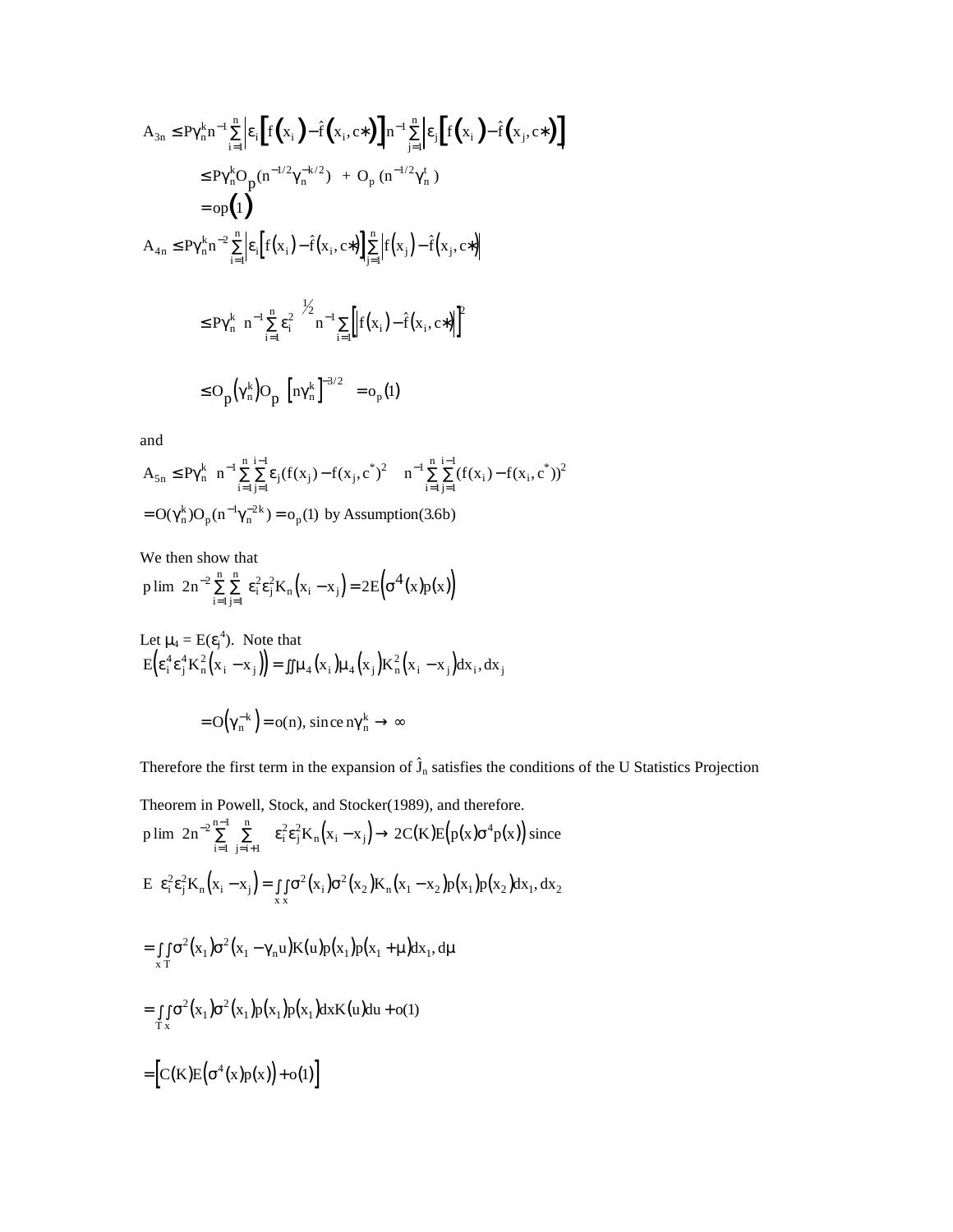$$
A_{3n} \leq P\gamma_n^{k} n^{-1} \sum_{i=1}^{n} \left| \epsilon_i \left[ f(x_i) - \hat{f}(x_i, c^*) \right] \right| n^{-1} \sum_{j=1}^{n} \left| \epsilon_j \left[ f(x_i) - \hat{f}(x_j, c^*) \right] \right|
$$
  
\n
$$
\leq P\gamma_n^{k} O_p(n^{-1/2}\gamma_n^{-k/2}) + O_p(n^{-1/2}\gamma_n^{t})
$$
  
\n
$$
= op(1)
$$
  
\n
$$
A_{4n} \leq P\gamma_n^{k} n^{-2} \sum_{i=1}^{n} \left| \epsilon_i \left[ f(x_i) - \hat{f}(x_i, c^*) \right] \right| \sum_{j=1}^{n} \left| f(x_j) - \hat{f}(x_j, c^*) \right|
$$
  
\n
$$
\leq P\gamma_n^{k} \left[ n^{-1} \sum_{i=1}^{n} \epsilon_i^2 \right]^{1/2} n^{-1} \sum_{i=1}^{n} \left| f(x_i) - \hat{f}(x_i, c^*) \right|^{2}
$$
  
\n
$$
\leq O_p(\gamma_n^{k}) O_p(\left[ n\gamma_n^{k} \right]^{-3/2}) = o_p(1)
$$

and

$$
A_{5n} \le P\gamma_n^k \left\{ n^{-1} \sum_{i=1}^n \sum_{j=1}^{i-1} \varepsilon_j (f(x_j) - f(x_j, c^*)^2) \right\} \left\{ n^{-1} \sum_{i=1}^n \sum_{j=1}^{i-1} (f(x_i) - f(x_i, c^*))^2 \right\}
$$
  
= O(\gamma\_n^k) O<sub>p</sub> (n<sup>-1</sup> \gamma\_n^{-2k}) = o<sub>p</sub>(1) by Assumption (3.6b)

We then show that

$$
p\lim \ 2n^{-2}\sum\limits_{i=1}^{n}\sum\limits_{j=1}^{n}\,\epsilon_{i}^{2}\epsilon_{j}^{2}K_{n}\Big(x_{i}-x_{j}\Big)=2E\Big(\sigma^{4}\big(x\big)p(x)\Big)
$$

Let 
$$
\mu_4 = E(\epsilon_j^4)
$$
. Note that  
\n
$$
E(\epsilon_i^4 \epsilon_j^4 K_n^2 (x_i - x_j)) = \iint \mu_4(x_i) \mu_4(x_j) K_n^2(x_i - x_j) dx_i, dx_j
$$

$$
= O\!\!\left(\gamma_n^{-k}\right) \! = o(n), \, since \, n \gamma_n^k \to \infty
$$

 $= O(\gamma_n^{-k}) = o(n)$ , since  $n\gamma_n^{k} \to \infty$ <br>Therefore the first term in the expansion of  $\hat{J}_n$  satisfies the conditions of the U Statistics Projection

Theorem in Powell, Stock, and Stocker(1989), and therefore.

p lim 2n<sup>-2</sup>
$$
\sum_{i=1}^{n-1} \sum_{j=i+1}^{n} \varepsilon_i^2 \varepsilon_j^2 K_n(x_i - x_j) \rightarrow 2C(K)E(p(x)\sigma^4 p(x))
$$
 since  
\n
$$
E\left(\varepsilon_i^2 \varepsilon_j^2 K_n(x_i - x_j) = \iint_{x} \sigma^2(x_i) \sigma^2(x_2) K_n(x_1 - x_2) p(x_1) p(x_2) dx_1, dx_2\right)
$$
\n
$$
= \iint_{x} \sigma^2(x_1) \sigma^2(x_1 - \gamma_n u) K(u) p(x_1) p(x_1 + \mu) dx_1, du
$$
\n
$$
= \iint_{x} \sigma^2(x_1) \sigma^2(x_1) p(x_1) p(x_1) dx K(u) du + o(1)
$$
\n
$$
= [C(K)E(\sigma^4(x) p(x)) + o(1)]
$$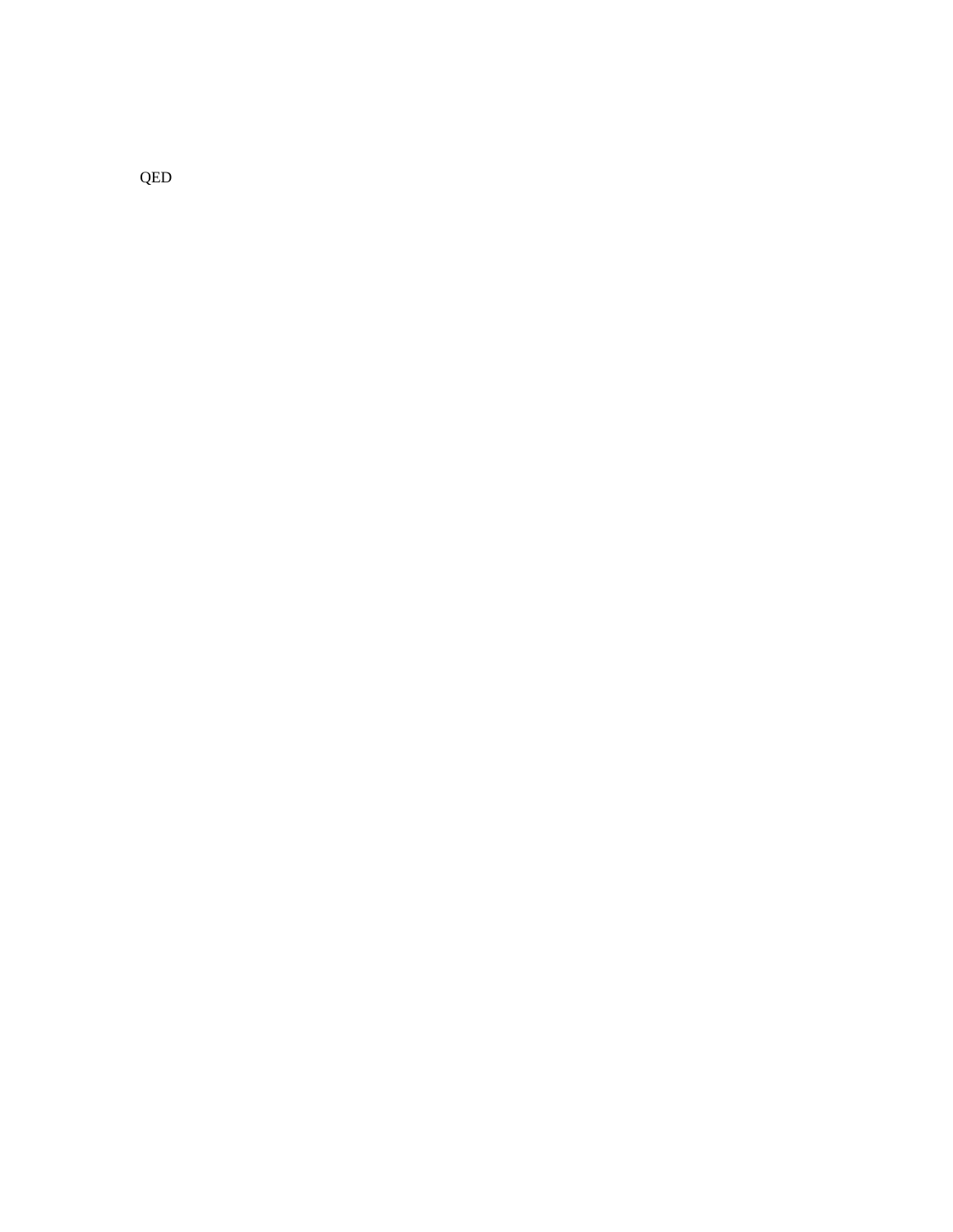QED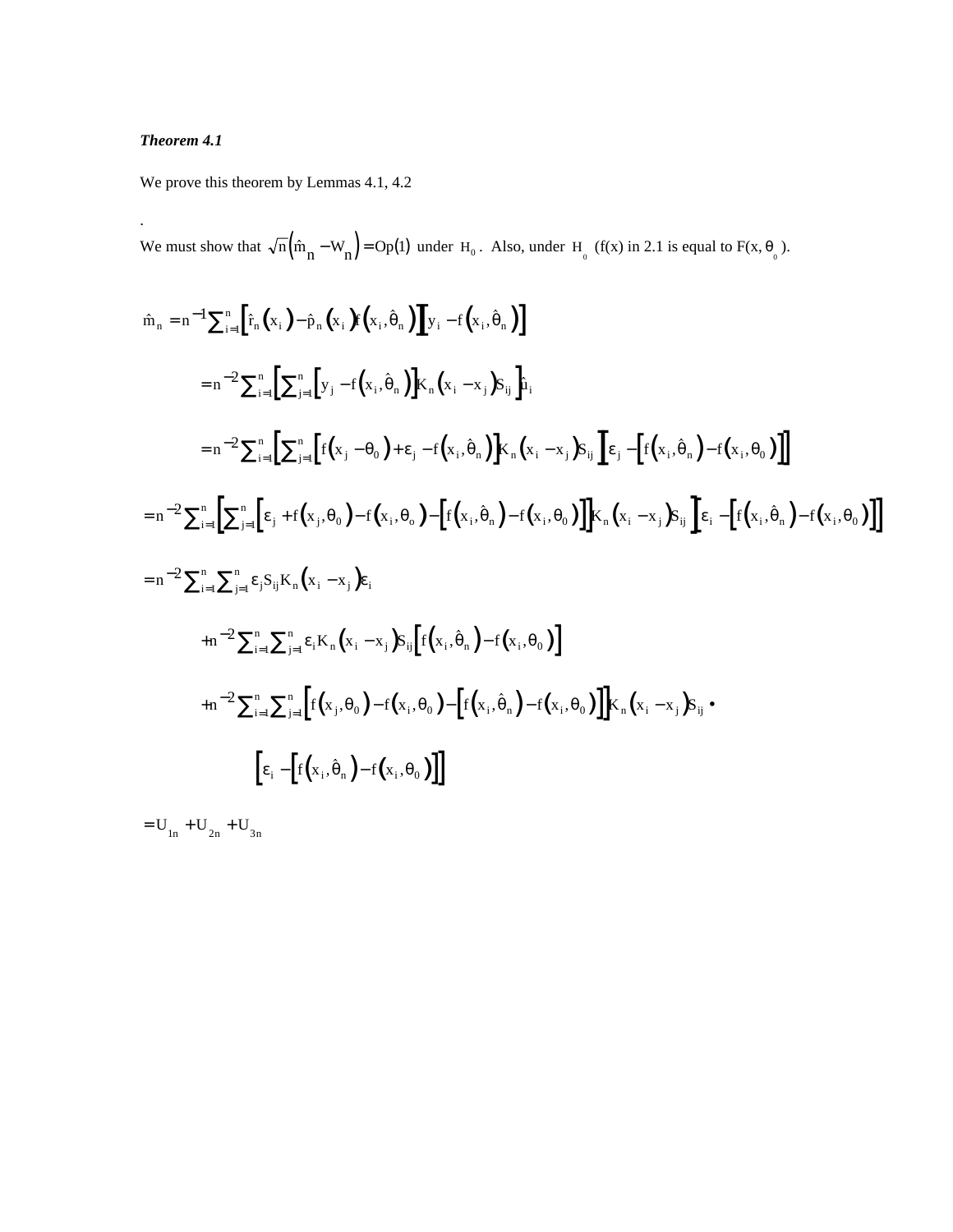# *Theorem 4.1*

.

We prove this theorem by Lemmas 4.1, 4.2

We must show that  $\sqrt{n} (\hat{m}_n - W_n) = Op(1)$  under H<sub>0</sub>. Also, under H<sub>0</sub> (f(x) in 2.1 is equal to F(x,  $\theta_0$ ).

$$
\hat{m}_{n} = n^{-1} \sum_{i=1}^{n} \left[ \hat{r}_{n}(x_{i}) - \hat{p}_{n}(x_{i}) \hat{r}(x_{i}, \hat{\theta}_{n}) \right] \hat{y}_{i} - f(x_{i}, \hat{\theta}_{n})
$$
\n
$$
= n^{-2} \sum_{i=1}^{n} \left[ \sum_{j=1}^{n} \left[ y_{j} - f(x_{i}, \hat{\theta}_{n}) \right] K_{n}(x_{i} - x_{j}) S_{ij} \right] \hat{u}_{i}
$$
\n
$$
= n^{-2} \sum_{i=1}^{n} \left[ \sum_{j=1}^{n} \left[ f(x_{j} - \theta_{0}) + \varepsilon_{j} - f(x_{i}, \hat{\theta}_{n}) \right] K_{n}(x_{i} - x_{j}) S_{ij} \right] \hat{\epsilon}_{j} - \left[ f(x_{i}, \hat{\theta}_{n}) - f(x_{i}, \theta_{0}) \right] \right]
$$
\n
$$
= n^{-2} \sum_{i=1}^{n} \left[ \sum_{j=1}^{n} \left[ \varepsilon_{j} + f(x_{j}, \theta_{0}) - f(x_{i}, \theta_{0}) - \left[ f(x_{i}, \hat{\theta}_{n}) - f(x_{i}, \theta_{0}) \right] \right] K_{n}(x_{i} - x_{j}) S_{ij} \right] \hat{\epsilon}_{i} - \left[ f(x_{i}, \hat{\theta}_{n}) - f(x_{i}, \theta_{0}) \right]
$$
\n
$$
= n^{-2} \sum_{i=1}^{n} \sum_{j=1}^{n} \varepsilon_{j} S_{ij} K_{n}(x_{i} - x_{j}) \varepsilon_{i}
$$
\n
$$
+ n^{-2} \sum_{i=1}^{n} \sum_{j=1}^{n} \varepsilon_{i} K_{n}(x_{i} - x_{j}) S_{ij} \left[ f(x_{i}, \hat{\theta}_{n}) - f(x_{i}, \theta_{0}) \right]
$$
\n
$$
+ n^{-2} \sum_{i=1}^{n} \sum_{j=1}^{n} \left[ f(x_{j}, \theta_{0}) - f(x_{i}, \theta_{0}) - \left[ f(x_{i}, \hat{\theta}_{n}) - f(x_{i}, \theta_{0}) \right] \right] K_{n}(x_{i} - x_{j}) S_{ij} \bullet
$$
\n
$$
\left[ \varepsilon_{i} - \left[ f(x_{i}, \
$$

 $= U_{1n} + U_{2n} + U_{3n}$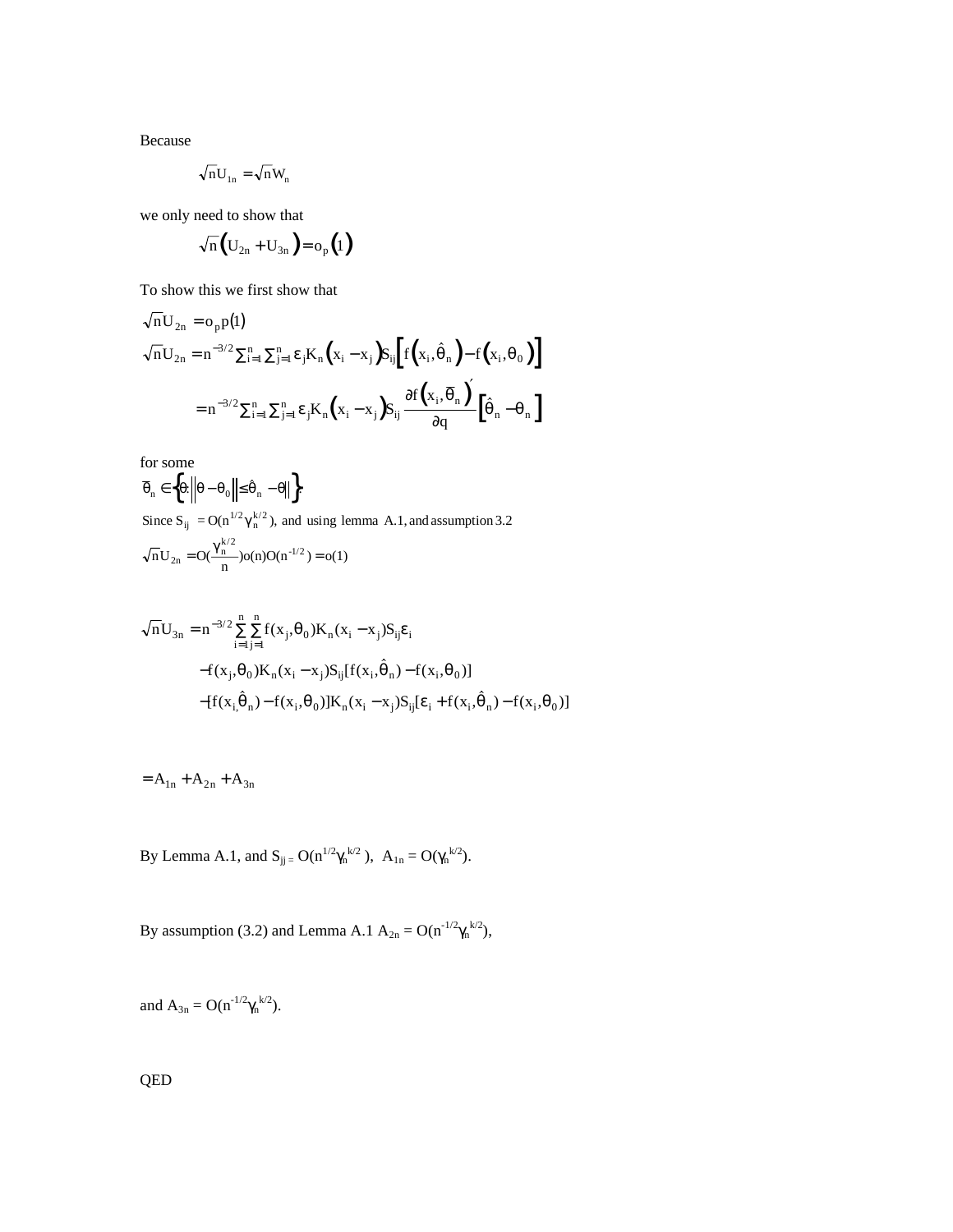Because

$$
\sqrt{n}U_{1n} = \sqrt{n}W_n
$$

we only need to show that

$$
\sqrt{n}\Big(U_{2n}+U_{3n}\Big)=o_p\Big(1\Big)
$$

To show this we first show that

$$
\sqrt{n}U_{2n} = o_p p(1)
$$
  
\n
$$
\sqrt{n}U_{2n} = n^{-3/2} \sum_{i=1}^n \sum_{j=1}^n \epsilon_j K_n (x_i - x_j) S_{ij} [f(x_i, \hat{\theta}_n) - f(x_i, \theta_0)]
$$
  
\n
$$
= n^{-3/2} \sum_{i=1}^n \sum_{j=1}^n \epsilon_j K_n (x_i - x_j) S_{ij} \frac{\partial f(x_i, \overline{\theta}_n)}{\partial q} [\hat{\theta}_n - \theta_n]
$$

for some

for some  
\n
$$
\overline{\theta}_n \in \left\{\theta: \left\|\theta - \theta_0\right\| \le \hat{\theta}_n - \theta\right\| \right\}
$$
\nSince  $S_{ij} = O(n^{1/2} \gamma_n^{k/2})$ , and using lemma A.1, and assumption 3.2  
\n
$$
\sqrt{n}U_{2n} = O(\frac{\gamma_n^{k/2}}{n})o(n)O(n^{-1/2}) = o(1)
$$

$$
\begin{aligned}\n\sqrt{n}U_{3n} &= n^{-3/2} \sum_{i=1}^{n} \sum_{j=1}^{n} f(x_j, \theta_0) K_n(x_i - x_j) S_{ij} \varepsilon_i \\
&- f(x_j, \theta_0) K_n(x_i - x_j) S_{ij} [f(x_i, \hat{\theta}_n) - f(x_i, \theta_0)] \\
&- [f(x_i, \hat{\theta}_n) - f(x_i, \theta_0)] K_n(x_i - x_j) S_{ij} [\varepsilon_i + f(x_i, \hat{\theta}_n) - f(x_i, \theta_0)]\n\end{aligned}
$$

$$
= A_{1n} + A_{2n} + A_{3n}
$$

By Lemma A.1, and  $S_{jj} = O(n^{1/2} \gamma_n^{k/2})$ ,  $A_{1n} = O(\gamma_n^{k/2})$ .

By assumption (3.2) and Lemma A.1  $A_{2n} = O(n^{-1/2} \gamma_n^{k/2})$ ,

and  $A_{3n} = O(n^{-1/2} \gamma_n^{k/2})$ .

QED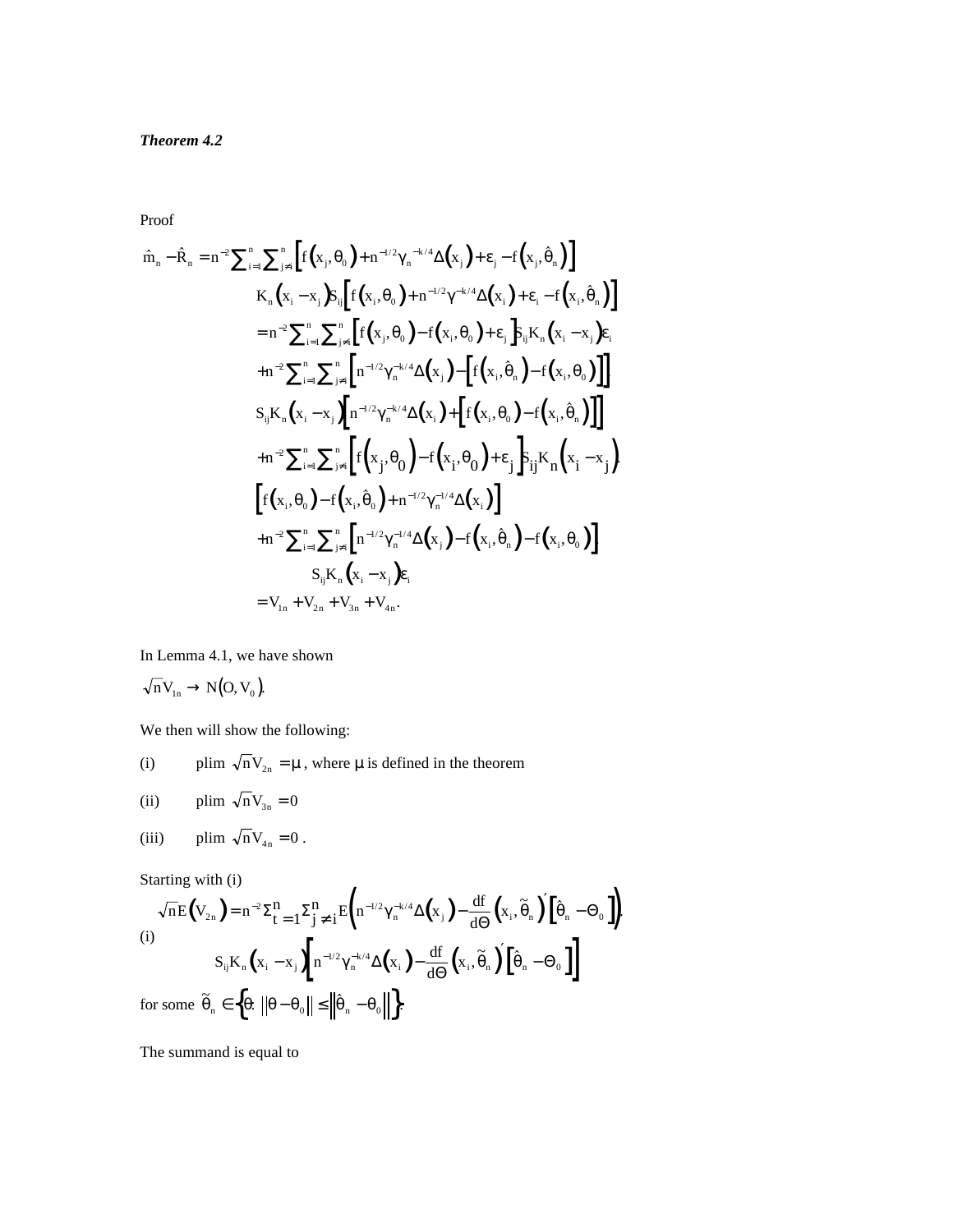Proof

Proof  
\n
$$
\hat{m}_{n} - \hat{R}_{n} = n^{-2} \sum_{i=1}^{n} \sum_{j\neq i}^{n} \left[ f(x_{j}, \theta_{0}) + n^{-1/2} \gamma_{n}^{-k/4} \Delta(x_{j}) + \varepsilon_{j} - f(x_{j}, \hat{\theta}_{n}) \right]
$$
\n
$$
K_{n}(x_{i} - x_{j}) S_{ij} \left[ f(x_{i}, \theta_{0}) + n^{-1/2} \gamma^{-k/4} \Delta(x_{i}) + \varepsilon_{i} - f(x_{i}, \hat{\theta}_{n}) \right]
$$
\n
$$
= n^{-2} \sum_{i=1}^{n} \sum_{j\neq i}^{n} \left[ f(x_{j}, \theta_{0}) - f(x_{i}, \theta_{0}) + \varepsilon_{j} \right] S_{ij} K_{n}(x_{i} - x_{j}) \varepsilon_{i}
$$
\n
$$
+ n^{-2} \sum_{i=1}^{n} \sum_{j\neq i}^{n} \left[ n^{-1/2} \gamma_{n}^{-k/4} \Delta(x_{j}) - \left[ f(x_{i}, \hat{\theta}_{n}) - f(x_{i}, \theta_{0}) \right] \right]
$$
\n
$$
S_{ij} K_{n}(x_{i} - x_{j}) \left[ n^{-1/2} \gamma_{n}^{-k/4} \Delta(x_{i}) + \left[ f(x_{i}, \theta_{0}) - f(x_{i}, \hat{\theta}_{n}) \right] \right]
$$
\n
$$
+ n^{-2} \sum_{i=1}^{n} \sum_{j\neq i}^{n} \left[ f(x_{j}, \theta_{0}) - f(x_{i}, \theta_{0}) + \varepsilon_{j} \right] S_{ij} K_{n}(x_{i} - x_{j})
$$
\n
$$
\left[ f(x_{i}, \theta_{0}) - f(x_{i}, \hat{\theta}_{0}) + n^{-1/2} \gamma_{n}^{-1/4} \Delta(x_{i}) \right]
$$
\n
$$
+ n^{-2} \sum_{i=1}^{n} \sum_{j\neq i}^{n} \left[ n^{-1/2} \gamma_{n}^{-1/4} \Delta(x_{j}) - f(x_{i}, \hat{\theta}_{n}) - f(x_{i}, \theta_{0}) \right]
$$
\n
$$
S_{ij} K_{n}(x_{i} - x_{j}) \varepsilon_{i}
$$
\n
$$
= V_{1n} + V_{2n} + V_{3n} +
$$

In Lemma 4.1, we have shown

$$
\sqrt{n}V_{1n} \to N(O, V_0).
$$

We then will show the following:

(i) 
$$
\text{plim } \sqrt{\mathbf{n} \mathbf{V}_{2n}} = \mu
$$
, where  $\mu$  is defined in the theorem

(ii) 
$$
\text{plim } \sqrt{\text{n}} V_{3n} = 0
$$

(iii) 
$$
\text{plim } \sqrt{\text{n}} V_{4n} = 0
$$
.

Starting with (i)

Starting with (i)  
\n
$$
\sqrt{n}E(V_{2n}) = n^{-2}\Sigma_{t=1}^{n} \Sigma_{j \neq i}^{n} E(n^{-1/2}\gamma_{n}^{-k/4}\Delta(x_{j}) - \frac{df}{d\Theta}(x_{i}, \tilde{\theta}_{n}) [\hat{\theta}_{n} - \Theta_{0}])
$$
\n(i)  
\n
$$
S_{ij}K_{n}(x_{i} - x_{j})\left[n^{-1/2}\gamma_{n}^{-k/4}\Delta(x_{i}) - \frac{df}{d\Theta}(x_{i}, \tilde{\theta}_{n}) [\hat{\theta}_{n} - \Theta_{0}]\right]
$$
\nfor some  $\tilde{\theta}_{n} \in \{\theta: ||\theta - \theta_{0}|| \le ||\hat{\theta}_{n} - \theta_{0}||\}$ .

The summand is equal to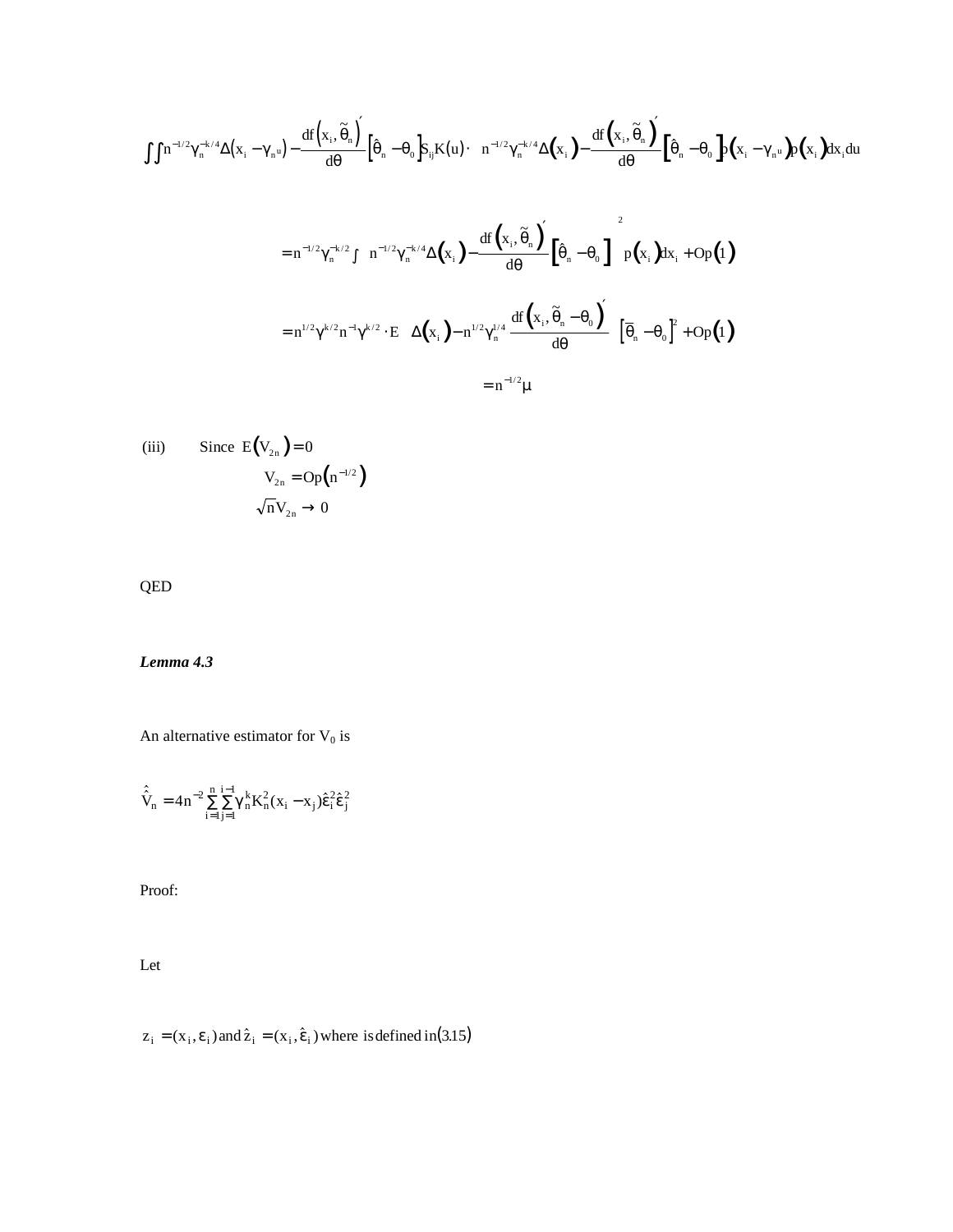$$
\iint n^{-1/2} \gamma_n^{-k/4} \Delta(x_i - \gamma_n u) - \frac{df(x_i, \tilde{\theta}_n)}{d\theta} \left[ \hat{\theta}_n - \theta_0 \right] S_{ij} K(u) \cdot \left[ n^{-1/2} \gamma_n^{-k/4} \Delta(x_i) - \frac{df(x_i, \tilde{\theta}_n)}{d\theta} \left[ \hat{\theta}_n - \theta_0 \right] p(x_i - \gamma_n u) p(x_i) dx_i du \right]
$$
  
\n
$$
= n^{-1/2} \gamma_n^{-k/2} \int \left[ n^{-1/2} \gamma_n^{-k/4} \Delta(x_i) - \frac{df(x_i, \tilde{\theta}_n)}{d\theta} \left[ \hat{\theta}_n - \theta_0 \right] \right] p(x_i) dx_i + Op(1)
$$
  
\n
$$
= n^{-1/2} \gamma^{k/2} n^{-1} \gamma^{k/2} \cdot E \left[ \Delta(x_i) - n^{1/2} \gamma_n^{1/4} \frac{df(x_i, \tilde{\theta}_n - \theta_0)}{d\theta} \right] \left[ \overline{\theta}_n - \theta_0 \right]^2 + Op(1)
$$
  
\n
$$
= n^{-1/2} \mu
$$

(iii) Since 
$$
E(V_{2n}) = 0
$$
  
\n
$$
V_{2n} = Op(n^{-1/2})
$$
\n
$$
\sqrt{n}V_{2n} \to 0
$$

QED

*Lemma 4.3*

An alternative estimator for  $V_0$  is

$$
\hat{V}_n = 4n^{-2} \sum_{i=1}^n \sum_{j=1}^{i-1} \gamma_n^k K_n^2 (x_i - x_j) \hat{\varepsilon}_i^2 \hat{\varepsilon}_j^2
$$

Proof:

Let

$$
z_i = (x_i, \varepsilon_i) \text{ and } \hat{z}_i = (x_i, \hat{\varepsilon}_i) \text{ where is defined in (3.15)}
$$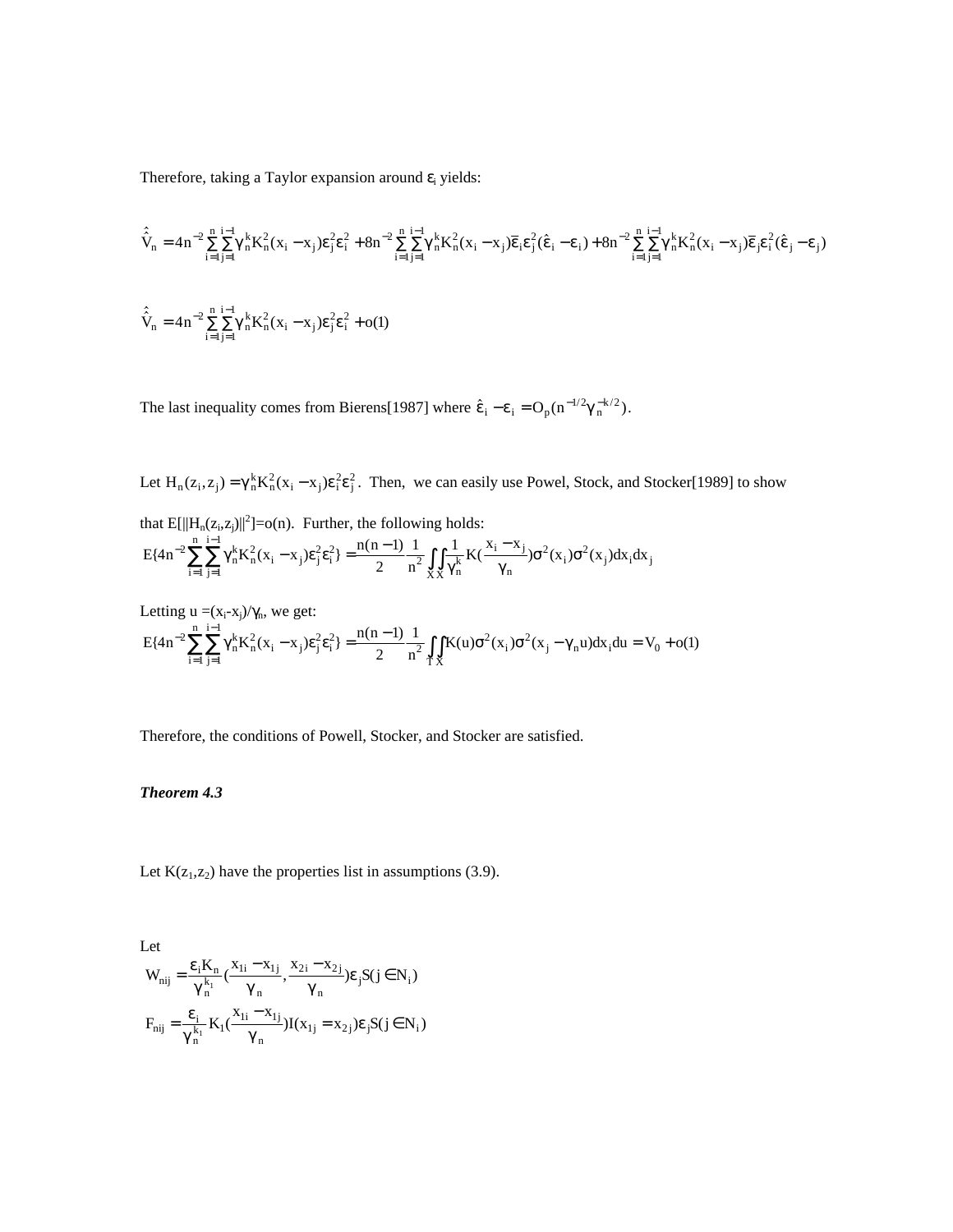Therefore, taking a Taylor expansion around  $\varepsilon$ <sub>i</sub> yields:

$$
\hat{V}_n = 4n^{-2} \sum_{i=1}^n \sum_{j=1}^{i-1} \gamma_n^k K_n^2 (x_i - x_j) \epsilon_j^2 \epsilon_i^2 + 8n^{-2} \sum_{i=1}^n \sum_{j=1}^{i-1} \gamma_n^k K_n^2 (x_i - x_j) \overline{\epsilon}_i \epsilon_j^2 (\hat{\epsilon}_i - \epsilon_i) + 8n^{-2} \sum_{i=1}^n \sum_{j=1}^{i-1} \gamma_n^k K_n^2 (x_i - x_j) \overline{\epsilon}_j \epsilon_i^2 (\hat{\epsilon}_j - \epsilon_j)
$$
  

$$
\hat{V}_n = 4n^{-2} \sum_{i=1}^n \sum_{j=1}^{i-1} \gamma_n^k K_n^2 (x_i - x_j) \epsilon_j^2 \epsilon_i^2 + o(1)
$$

The last inequality comes from Bierens[1987] where  $\hat{\epsilon}_i - \epsilon_i = O_p(n^{-1/2}\gamma_n^{-k/2})$ .

Let  $H_n(z_i, z_j) = \gamma_n^k K_n^2(x_i - x_j) \varepsilon_i^2 \varepsilon_j^2$ . Then, we can easily use Powel, Stock, and Stocker[1989] to show

that  $E[||H_n(z_i,z_j)||^2] = o(n)$ . Further, the following holds:  $E\{4n^{-2}\sum_{i=1}^{n}\sum_{i=1}^{i-1}\gamma_n^kK_n^2(x_i-x_j)\epsilon_j^2\epsilon_i^2\} = \frac{n(n-1)}{2}\frac{1}{n^2}\int_{\mathbf{Y}}\frac{1}{\gamma_n^k}K(\frac{x_i-x_j}{\gamma_n})\sigma^2(x_i)\sigma^2(x_j)dx_i dx$ j i i n n k XX  $i - x_j$  $\mathcal{L}\left\{4n^{-2}\sum_{i=1}^{n}\sum_{j=1}^{i-1}\gamma_{n}^{k}K_{n}^{2}(x_{i}-x_{j})\epsilon_{j}^{2}\epsilon_{i}^{2}\right\} = \frac{n(n-1)}{2}\frac{1}{n^{2}}\int_{XX}\frac{1}{\gamma_{n}^{k}}K\left(\frac{x_{i}-x_{j}}{\gamma_{n}}\right)\sigma^{2}(x_{i})\sigma^{2}(x_{j})dx_{i}dx_{j}$  $2 \sum_{r=1}^{n} \sum_{r=1}^{n-1} \left[ \frac{1}{2} \left( \frac{1}{2} \right)^r \right]^{2} \left[ \frac{1}{2} \right]^{2} \left[ \frac{1}{2} \right]^{2}$ 1 1  $^{-2}\sum_{i=1} \sum_{j=1} \gamma_n^k K_n^2(x_i - x_j) \varepsilon_j^2 \varepsilon_i^2 = \frac{n(n-1)}{2} \frac{1}{n^2} \int_{XX} \frac{1}{\gamma_n^k} K(\frac{x_i - x_j}{\gamma_n}) \sigma^2(x_i) \sigma^2$ = − =  $\sum_{i=1}^{n} \sum_{j=1}^{i-1} \gamma_n^k K_n^2(x_i - x_j) \varepsilon_j^2 \varepsilon_i^2 = \frac{n(n-1)}{2} \frac{1}{n^2} \int_{\mathbf{y}} \int_{\mathbf{y}} \frac{1}{\gamma_n^k} K(\frac{x_i - x_j}{\gamma_n}) \sigma^2(x_i) \sigma^2$ 

Letting 
$$
u = (x_i - x_j)/\gamma_n
$$
, we get:  
\n
$$
E\{4n^{-2}\sum_{i=1}^n\sum_{j=1}^n \gamma_n^k K_n^2(x_i - x_j)\epsilon_j^2 \epsilon_i^2\} = \frac{n(n-1)}{2}\frac{1}{n^2}\int_{TX} K(u)\sigma^2(x_j)\sigma^2(x_j - \gamma_n u)dx_i du = V_0 + o(1)
$$

Therefore, the conditions of Powell, Stocker, and Stocker are satisfied.

## *Theorem 4.3*

Let  $K(z_1, z_2)$  have the properties list in assumptions (3.9).

Let  
\n
$$
W_{nij} = \frac{\epsilon_i K_n}{\gamma_n^{k_1}} \left( \frac{x_{1i} - x_{1j}}{\gamma_n}, \frac{x_{2i} - x_{2j}}{\gamma_n} \right) \epsilon_j S(j \in N_i)
$$
\n
$$
F_{nij} = \frac{\epsilon_i}{\gamma_n^{k_1}} K_1 \left( \frac{x_{1i} - x_{1j}}{\gamma_n} \right) I(x_{1j} = x_{2j}) \epsilon_j S(j \in N_i)
$$